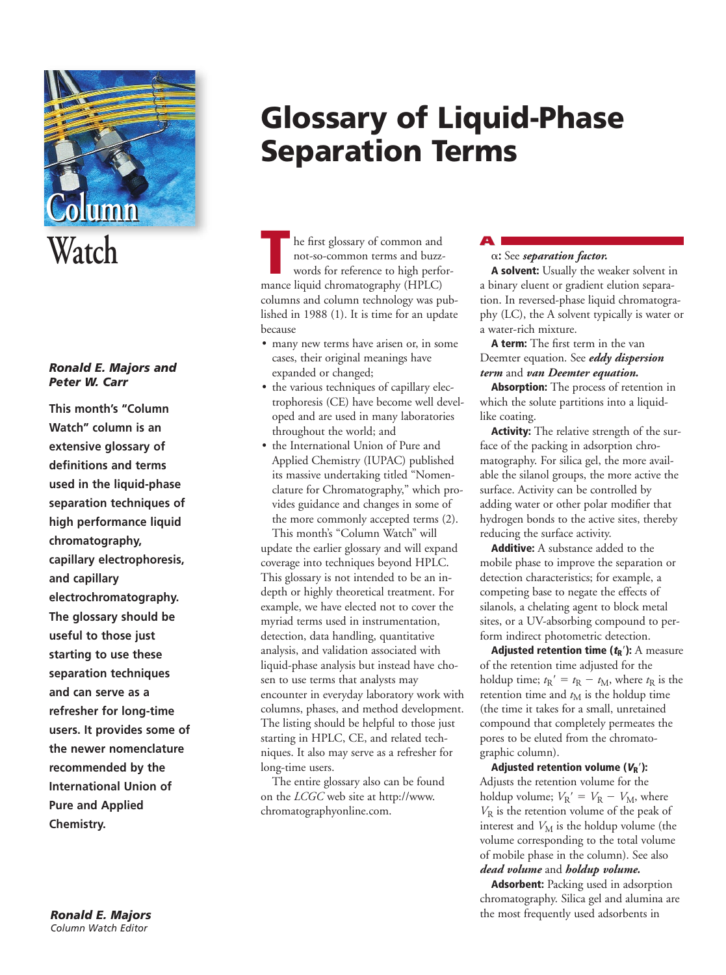

# *Ronald E. Majors and Peter W. Carr*

**This month's "Column Watch" column is an extensive glossary of definitions and terms used in the liquid-phase separation techniques of high performance liquid chromatography, capillary electrophoresis, and capillary electrochromatography. The glossary should be useful to those just starting to use these separation techniques and can serve as a refresher for long-time users. It provides some of the newer nomenclature recommended by the International Union of Pure and Applied Chemistry.**

# **Glossary of Liquid-Phase Separation Terms**

he first glossary of common and not-so-common terms and buzzwords for reference to high perfor-**Example 18 Follows** he first glossary of common and buzz words for reference to high performance liquid chromatography (HPLC) columns and column technology was published in 1988 (1). It is time for an update because

- many new terms have arisen or, in some cases, their original meanings have expanded or changed;
- the various techniques of capillary electrophoresis (CE) have become well developed and are used in many laboratories throughout the world; and
- the International Union of Pure and Applied Chemistry (IUPAC) published its massive undertaking titled "Nomenclature for Chromatography," which provides guidance and changes in some of the more commonly accepted terms (2).

This month's "Column Watch" will update the earlier glossary and will expand coverage into techniques beyond HPLC. This glossary is not intended to be an indepth or highly theoretical treatment. For example, we have elected not to cover the myriad terms used in instrumentation, detection, data handling, quantitative analysis, and validation associated with liquid-phase analysis but instead have chosen to use terms that analysts may encounter in everyday laboratory work with columns, phases, and method development. The listing should be helpful to those just starting in HPLC, CE, and related techniques. It also may serve as a refresher for long-time users.

The entire glossary also can be found on the *LCGC* web site at http://www. chromatographyonline.com.

# **A** a**:** See *separation factor.*

**A solvent:** Usually the weaker solvent in a binary eluent or gradient elution separation. In reversed-phase liquid chromatography (LC), the A solvent typically is water or a water-rich mixture.

**A term:** The first term in the van Deemter equation. See *eddy dispersion term* and *van Deemter equation.*

**Absorption:** The process of retention in which the solute partitions into a liquidlike coating.

**Activity:** The relative strength of the surface of the packing in adsorption chromatography. For silica gel, the more available the silanol groups, the more active the surface. Activity can be controlled by adding water or other polar modifier that hydrogen bonds to the active sites, thereby reducing the surface activity.

**Additive:** A substance added to the mobile phase to improve the separation or detection characteristics; for example, a competing base to negate the effects of silanols, a chelating agent to block metal sites, or a UV-absorbing compound to perform indirect photometric detection.

**Adjusted retention time**  $(t_R)$ **: A measure** of the retention time adjusted for the holdup time;  $t_R' = t_R - t_M$ , where  $t_R$  is the retention time and  $t_M$  is the holdup time (the time it takes for a small, unretained compound that completely permeates the pores to be eluted from the chromatographic column).

Adjusted retention volume  $(V_R)$ : Adjusts the retention volume for the holdup volume;  $V_{\rm R}^{\prime} = V_{\rm R} - V_{\rm M}$ , where *V*<sup>R</sup> is the retention volume of the peak of interest and  $V_M$  is the holdup volume (the volume corresponding to the total volume of mobile phase in the column). See also *dead volume* and *holdup volume.*

**Adsorbent:** Packing used in adsorption chromatography. Silica gel and alumina are the most frequently used adsorbents in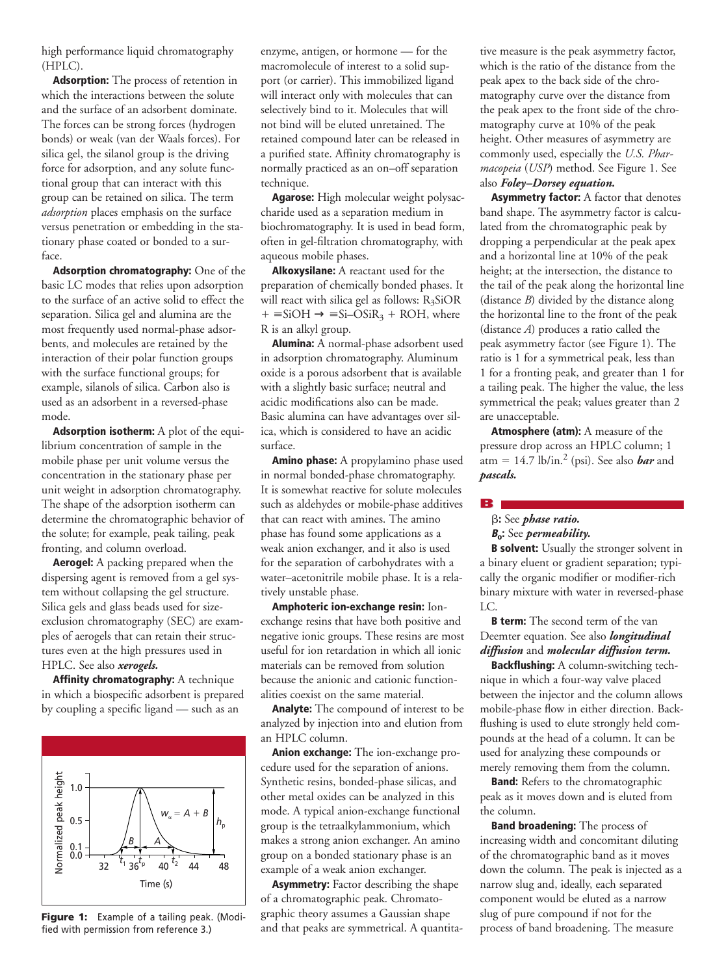high performance liquid chromatography (HPLC).

**Adsorption:** The process of retention in which the interactions between the solute and the surface of an adsorbent dominate. The forces can be strong forces (hydrogen bonds) or weak (van der Waals forces). For silica gel, the silanol group is the driving force for adsorption, and any solute functional group that can interact with this group can be retained on silica. The term *adsorption* places emphasis on the surface versus penetration or embedding in the stationary phase coated or bonded to a surface.

**Adsorption chromatography:** One of the basic LC modes that relies upon adsorption to the surface of an active solid to effect the separation. Silica gel and alumina are the most frequently used normal-phase adsorbents, and molecules are retained by the interaction of their polar function groups with the surface functional groups; for example, silanols of silica. Carbon also is used as an adsorbent in a reversed-phase mode.

**Adsorption isotherm:** A plot of the equilibrium concentration of sample in the mobile phase per unit volume versus the concentration in the stationary phase per unit weight in adsorption chromatography. The shape of the adsorption isotherm can determine the chromatographic behavior of the solute; for example, peak tailing, peak fronting, and column overload.

**Aerogel:** A packing prepared when the dispersing agent is removed from a gel system without collapsing the gel structure. Silica gels and glass beads used for sizeexclusion chromatography (SEC) are examples of aerogels that can retain their structures even at the high pressures used in HPLC. See also *xerogels.*

**Affinity chromatography:** A technique in which a biospecific adsorbent is prepared by coupling a specific ligand — such as an



**Figure 1:** Example of a tailing peak. (Modified with permission from reference 3.)

enzyme, antigen, or hormone — for the macromolecule of interest to a solid support (or carrier). This immobilized ligand will interact only with molecules that can selectively bind to it. Molecules that will not bind will be eluted unretained. The retained compound later can be released in a purified state. Affinity chromatography is normally practiced as an on–off separation technique.

**Agarose:** High molecular weight polysaccharide used as a separation medium in biochromatography. It is used in bead form, often in gel-filtration chromatography, with aqueous mobile phases.

**Alkoxysilane:** A reactant used for the preparation of chemically bonded phases. It will react with silica gel as follows:  $R_3SiOR$  $+ \equiv$ SiOH  $\rightarrow \equiv$ Si-OSiR<sub>3</sub> + ROH, where R is an alkyl group.

**Alumina:** A normal-phase adsorbent used in adsorption chromatography. Aluminum oxide is a porous adsorbent that is available with a slightly basic surface; neutral and acidic modifications also can be made. Basic alumina can have advantages over silica, which is considered to have an acidic surface.

**Amino phase:** A propylamino phase used in normal bonded-phase chromatography. It is somewhat reactive for solute molecules such as aldehydes or mobile-phase additives that can react with amines. The amino phase has found some applications as a weak anion exchanger, and it also is used for the separation of carbohydrates with a water–acetonitrile mobile phase. It is a relatively unstable phase.

**Amphoteric ion-exchange resin:** Ionexchange resins that have both positive and negative ionic groups. These resins are most useful for ion retardation in which all ionic materials can be removed from solution because the anionic and cationic functionalities coexist on the same material.

**Analyte:** The compound of interest to be analyzed by injection into and elution from an HPLC column.

**Anion exchange:** The ion-exchange procedure used for the separation of anions. Synthetic resins, bonded-phase silicas, and other metal oxides can be analyzed in this mode. A typical anion-exchange functional group is the tetraalkylammonium, which makes a strong anion exchanger. An amino group on a bonded stationary phase is an example of a weak anion exchanger.

**Asymmetry:** Factor describing the shape of a chromatographic peak. Chromatographic theory assumes a Gaussian shape and that peaks are symmetrical. A quantitative measure is the peak asymmetry factor, which is the ratio of the distance from the peak apex to the back side of the chromatography curve over the distance from the peak apex to the front side of the chromatography curve at 10% of the peak height. Other measures of asymmetry are commonly used, especially the *U.S. Pharmacopeia* (*USP*) method. See Figure 1. See also *Foley–Dorsey equation.*

**Asymmetry factor:** A factor that denotes band shape. The asymmetry factor is calculated from the chromatographic peak by dropping a perpendicular at the peak apex and a horizontal line at 10% of the peak height; at the intersection, the distance to the tail of the peak along the horizontal line (distance *B*) divided by the distance along the horizontal line to the front of the peak (distance *A*) produces a ratio called the peak asymmetry factor (see Figure 1). The ratio is 1 for a symmetrical peak, less than 1 for a fronting peak, and greater than 1 for a tailing peak. The higher the value, the less symmetrical the peak; values greater than 2 are unacceptable.

**Atmosphere (atm):** A measure of the pressure drop across an HPLC column; 1 atm =  $14.7$  lb/in.<sup>2</sup> (psi). See also *bar* and *pascals.*

**B**

# b**:** See *phase ratio.*

**<sup>B</sup>o:** See *permeability.*

**B solvent:** Usually the stronger solvent in a binary eluent or gradient separation; typically the organic modifier or modifier-rich binary mixture with water in reversed-phase LC.

**B term:** The second term of the van Deemter equation. See also *longitudinal diffusion* and *molecular diffusion term.*

**Backflushing:** A column-switching technique in which a four-way valve placed between the injector and the column allows mobile-phase flow in either direction. Backflushing is used to elute strongly held compounds at the head of a column. It can be used for analyzing these compounds or merely removing them from the column.

**Band:** Refers to the chromatographic peak as it moves down and is eluted from the column.

**Band broadening:** The process of increasing width and concomitant diluting of the chromatographic band as it moves down the column. The peak is injected as a narrow slug and, ideally, each separated component would be eluted as a narrow slug of pure compound if not for the process of band broadening. The measure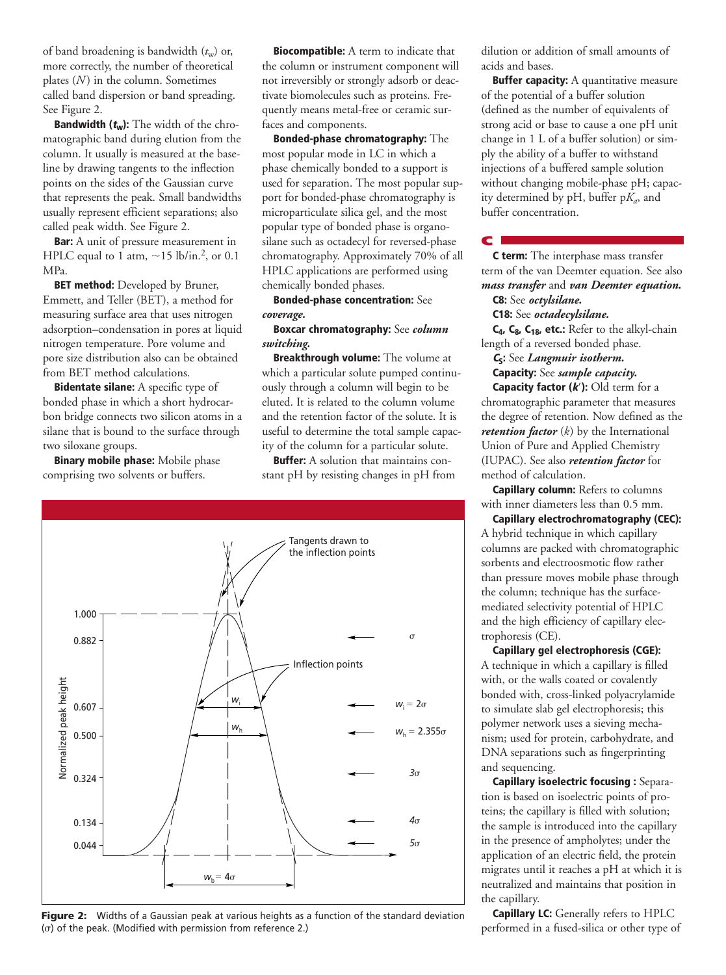of band broadening is bandwidth  $(t_w)$  or, more correctly, the number of theoretical plates (*N*) in the column. Sometimes called band dispersion or band spreading. See Figure 2.

**Bandwidth (tw):** The width of the chromatographic band during elution from the column. It usually is measured at the baseline by drawing tangents to the inflection points on the sides of the Gaussian curve that represents the peak. Small bandwidths usually represent efficient separations; also called peak width. See Figure 2.

**Bar:** A unit of pressure measurement in HPLC equal to 1 atm,  $\sim$ 15 lb/in.<sup>2</sup>, or 0.1 MPa.

**BET method:** Developed by Bruner, Emmett, and Teller (BET), a method for measuring surface area that uses nitrogen adsorption–condensation in pores at liquid nitrogen temperature. Pore volume and pore size distribution also can be obtained from BET method calculations.

**Bidentate silane:** A specific type of bonded phase in which a short hydrocarbon bridge connects two silicon atoms in a silane that is bound to the surface through two siloxane groups.

**Binary mobile phase:** Mobile phase comprising two solvents or buffers.

**Biocompatible:** A term to indicate that the column or instrument component will not irreversibly or strongly adsorb or deactivate biomolecules such as proteins. Frequently means metal-free or ceramic surfaces and components.

**Bonded-phase chromatography:** The most popular mode in LC in which a phase chemically bonded to a support is used for separation. The most popular support for bonded-phase chromatography is microparticulate silica gel, and the most popular type of bonded phase is organosilane such as octadecyl for reversed-phase chromatography. Approximately 70% of all HPLC applications are performed using chemically bonded phases.

**Bonded-phase concentration:** See *coverage.*

## **Boxcar chromatography:** See *column switching.*

**Breakthrough volume:** The volume at which a particular solute pumped continuously through a column will begin to be eluted. It is related to the column volume and the retention factor of the solute. It is useful to determine the total sample capacity of the column for a particular solute.

**Buffer:** A solution that maintains constant pH by resisting changes in pH from



**Figure 2:** Widths of a Gaussian peak at various heights as a function of the standard deviation  $(\sigma)$  of the peak. (Modified with permission from reference 2.)

dilution or addition of small amounts of acids and bases.

**Buffer capacity:** A quantitative measure of the potential of a buffer solution (defined as the number of equivalents of strong acid or base to cause a one pH unit change in 1 L of a buffer solution) or simply the ability of a buffer to withstand injections of a buffered sample solution without changing mobile-phase pH; capacity determined by  $pH$ , buffer  $pK_a$ , and buffer concentration.

**C term:** The interphase mass transfer term of the van Deemter equation. See also *mass transfer* and *van Deemter equation.* **C8:** See *octylsilane.*

# **C18:** See *octadecylsilane.*

**C**

**C4, C8, C18, etc.:** Refer to the alkyl-chain length of a reversed bonded phase.

**<sup>C</sup>S:** See *Langmuir isotherm.*

**Capacity:** See *sample capacity.* **Capacity factor (k'):** Old term for a

chromatographic parameter that measures the degree of retention. Now defined as the *retention factor* (*k*) by the International Union of Pure and Applied Chemistry (IUPAC). See also *retention factor* for method of calculation.

**Capillary column:** Refers to columns with inner diameters less than 0.5 mm.

**Capillary electrochromatography (CEC):** A hybrid technique in which capillary columns are packed with chromatographic sorbents and electroosmotic flow rather than pressure moves mobile phase through the column; technique has the surfacemediated selectivity potential of HPLC and the high efficiency of capillary electrophoresis (CE).

**Capillary gel electrophoresis (CGE):**  A technique in which a capillary is filled with, or the walls coated or covalently bonded with, cross-linked polyacrylamide to simulate slab gel electrophoresis; this polymer network uses a sieving mechanism; used for protein, carbohydrate, and DNA separations such as fingerprinting and sequencing.

**Capillary isoelectric focusing :** Separation is based on isoelectric points of proteins; the capillary is filled with solution; the sample is introduced into the capillary in the presence of ampholytes; under the application of an electric field, the protein migrates until it reaches a pH at which it is neutralized and maintains that position in the capillary.

**Capillary LC:** Generally refers to HPLC performed in a fused-silica or other type of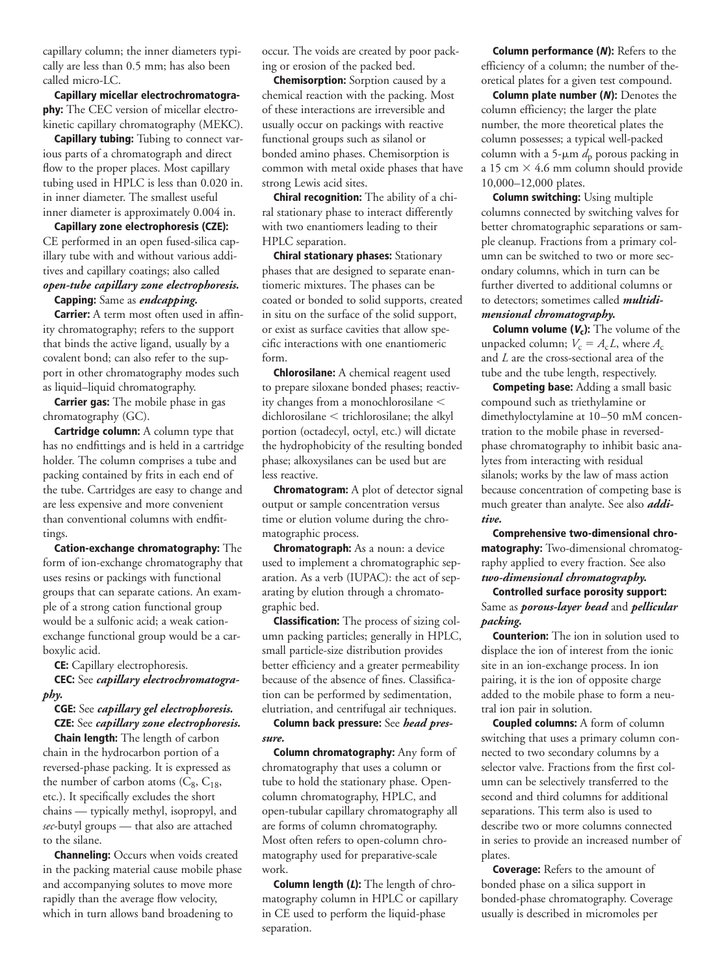capillary column; the inner diameters typically are less than 0.5 mm; has also been called micro-LC.

**Capillary micellar electrochromatography:** The CEC version of micellar electrokinetic capillary chromatography (MEKC).

**Capillary tubing:** Tubing to connect various parts of a chromatograph and direct flow to the proper places. Most capillary tubing used in HPLC is less than 0.020 in. in inner diameter. The smallest useful inner diameter is approximately 0.004 in.

**Capillary zone electrophoresis (CZE):** CE performed in an open fused-silica capillary tube with and without various additives and capillary coatings; also called *open-tube capillary zone electrophoresis.*

#### **Capping:** Same as *endcapping.*

**Carrier:** A term most often used in affinity chromatography; refers to the support that binds the active ligand, usually by a covalent bond; can also refer to the support in other chromatography modes such as liquid–liquid chromatography.

**Carrier gas:** The mobile phase in gas chromatography (GC).

**Cartridge column:** A column type that has no endfittings and is held in a cartridge holder. The column comprises a tube and packing contained by frits in each end of the tube. Cartridges are easy to change and are less expensive and more convenient than conventional columns with endfittings.

**Cation-exchange chromatography:** The form of ion-exchange chromatography that uses resins or packings with functional groups that can separate cations. An example of a strong cation functional group would be a sulfonic acid; a weak cationexchange functional group would be a carboxylic acid.

**CE:** Capillary electrophoresis.

**CEC:** See *capillary electrochromatography.*

# **CGE:** See *capillary gel electrophoresis.* **CZE:** See *capillary zone electrophoresis.*

**Chain length:** The length of carbon chain in the hydrocarbon portion of a reversed-phase packing. It is expressed as the number of carbon atoms  $(C_8, C_{18},$ etc.). It specifically excludes the short chains — typically methyl, isopropyl, and *sec*-butyl groups — that also are attached to the silane.

**Channeling:** Occurs when voids created in the packing material cause mobile phase and accompanying solutes to move more rapidly than the average flow velocity, which in turn allows band broadening to

occur. The voids are created by poor packing or erosion of the packed bed.

**Chemisorption:** Sorption caused by a chemical reaction with the packing. Most of these interactions are irreversible and usually occur on packings with reactive functional groups such as silanol or bonded amino phases. Chemisorption is common with metal oxide phases that have strong Lewis acid sites.

**Chiral recognition:** The ability of a chiral stationary phase to interact differently with two enantiomers leading to their HPLC separation.

**Chiral stationary phases:** Stationary phases that are designed to separate enantiomeric mixtures. The phases can be coated or bonded to solid supports, created in situ on the surface of the solid support, or exist as surface cavities that allow specific interactions with one enantiomeric form.

**Chlorosilane:** A chemical reagent used to prepare siloxane bonded phases; reactivity changes from a monochlorosilane  $<$  $dichlorosilane < trichlorosilane;$  the alkyl portion (octadecyl, octyl, etc.) will dictate the hydrophobicity of the resulting bonded phase; alkoxysilanes can be used but are less reactive.

**Chromatogram:** A plot of detector signal output or sample concentration versus time or elution volume during the chromatographic process.

**Chromatograph:** As a noun: a device used to implement a chromatographic separation. As a verb (IUPAC): the act of separating by elution through a chromatographic bed.

**Classification:** The process of sizing column packing particles; generally in HPLC, small particle-size distribution provides better efficiency and a greater permeability because of the absence of fines. Classification can be performed by sedimentation, elutriation, and centrifugal air techniques.

**Column back pressure:** See *head pressure.*

**Column chromatography:** Any form of chromatography that uses a column or tube to hold the stationary phase. Opencolumn chromatography, HPLC, and open-tubular capillary chromatography all are forms of column chromatography. Most often refers to open-column chromatography used for preparative-scale work.

**Column length (L):** The length of chromatography column in HPLC or capillary in CE used to perform the liquid-phase separation.

**Column performance (N):** Refers to the efficiency of a column; the number of theoretical plates for a given test compound.

**Column plate number (N):** Denotes the column efficiency; the larger the plate number, the more theoretical plates the column possesses; a typical well-packed column with a 5- $\mu$ m  $d_p$  porous packing in a 15 cm  $\times$  4.6 mm column should provide 10,000–12,000 plates.

**Column switching:** Using multiple columns connected by switching valves for better chromatographic separations or sample cleanup. Fractions from a primary column can be switched to two or more secondary columns, which in turn can be further diverted to additional columns or to detectors; sometimes called *multidi-*

# *mensional chromatography.*

**Column volume (Vc):** The volume of the unpacked column;  $V_c = A_c L$ , where  $A_c$ and *L* are the cross-sectional area of the tube and the tube length, respectively.

**Competing base:** Adding a small basic compound such as triethylamine or dimethyloctylamine at 10–50 mM concentration to the mobile phase in reversedphase chromatography to inhibit basic analytes from interacting with residual silanols; works by the law of mass action because concentration of competing base is much greater than analyte. See also *additive.*

**Comprehensive two-dimensional chromatography:** Two-dimensional chromatography applied to every fraction. See also *two-dimensional chromatography.*

**Controlled surface porosity support:** Same as *porous-layer bead* and *pellicular packing.*

**Counterion:** The ion in solution used to displace the ion of interest from the ionic site in an ion-exchange process. In ion pairing, it is the ion of opposite charge added to the mobile phase to form a neutral ion pair in solution.

**Coupled columns:** A form of column switching that uses a primary column connected to two secondary columns by a selector valve. Fractions from the first column can be selectively transferred to the second and third columns for additional separations. This term also is used to describe two or more columns connected in series to provide an increased number of plates.

**Coverage:** Refers to the amount of bonded phase on a silica support in bonded-phase chromatography. Coverage usually is described in micromoles per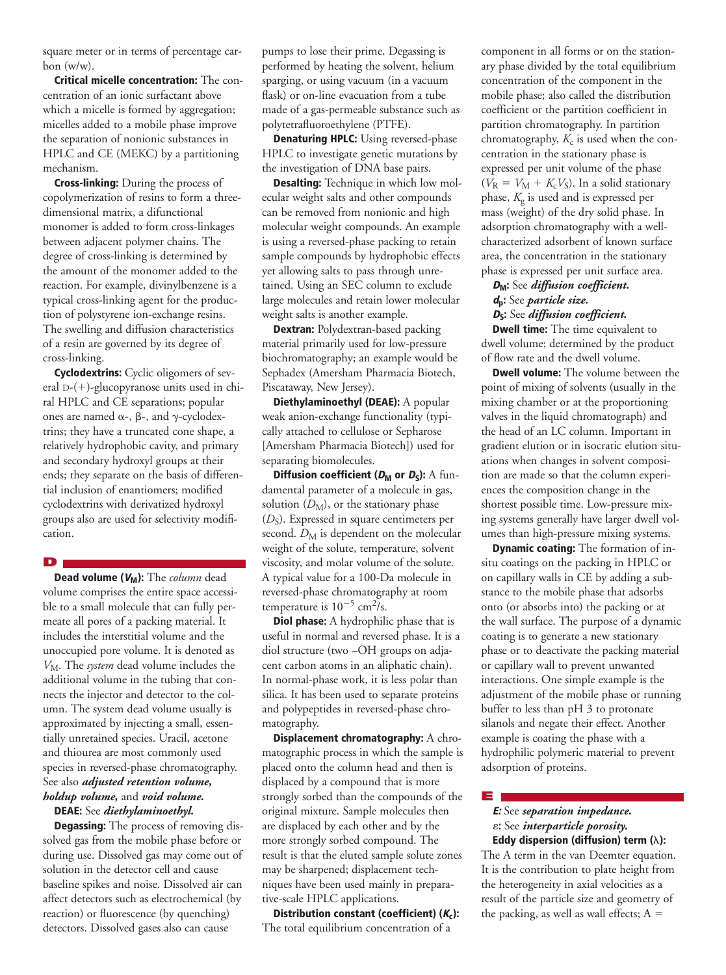square meter or in terms of percentage carbon (w/w).

**Critical micelle concentration:** The concentration of an ionic surfactant above which a micelle is formed by aggregation; micelles added to a mobile phase improve the separation of nonionic substances in HPLC and CE (MEKC) by a partitioning mechanism.

**Cross-linking:** During the process of copolymerization of resins to form a threedimensional matrix, a difunctional monomer is added to form cross-linkages between adjacent polymer chains. The degree of cross-linking is determined by the amount of the monomer added to the reaction. For example, divinylbenzene is a typical cross-linking agent for the production of polystyrene ion-exchange resins. The swelling and diffusion characteristics of a resin are governed by its degree of cross-linking.

**Cyclodextrins:** Cyclic oligomers of several  $D-(+)$ -glucopyranose units used in chiral HPLC and CE separations; popular ones are named  $\alpha$ -,  $\beta$ -, and  $\gamma$ -cyclodextrins; they have a truncated cone shape, a relatively hydrophobic cavity, and primary and secondary hydroxyl groups at their ends; they separate on the basis of differential inclusion of enantiomers; modified cyclodextrins with derivatized hydroxyl groups also are used for selectivity modification.

**D**

**Dead volume (VM):** The *column* dead volume comprises the entire space accessible to a small molecule that can fully permeate all pores of a packing material. It includes the interstitial volume and the unoccupied pore volume. It is denoted as *V*M. The *system* dead volume includes the additional volume in the tubing that connects the injector and detector to the column. The system dead volume usually is approximated by injecting a small, essentially unretained species. Uracil, acetone and thiourea are most commonly used species in reversed-phase chromatography. See also *adjusted retention volume, holdup volume,* and *void volume.*

## **DEAE:** See *diethylaminoethyl.*

**Degassing:** The process of removing dissolved gas from the mobile phase before or during use. Dissolved gas may come out of solution in the detector cell and cause baseline spikes and noise. Dissolved air can affect detectors such as electrochemical (by reaction) or fluorescence (by quenching) detectors. Dissolved gases also can cause

pumps to lose their prime. Degassing is performed by heating the solvent, helium sparging, or using vacuum (in a vacuum flask) or on-line evacuation from a tube made of a gas-permeable substance such as polytetrafluoroethylene (PTFE).

**Denaturing HPLC:** Using reversed-phase HPLC to investigate genetic mutations by the investigation of DNA base pairs.

**Desalting:** Technique in which low molecular weight salts and other compounds can be removed from nonionic and high molecular weight compounds. An example is using a reversed-phase packing to retain sample compounds by hydrophobic effects yet allowing salts to pass through unretained. Using an SEC column to exclude large molecules and retain lower molecular weight salts is another example.

**Dextran:** Polydextran-based packing material primarily used for low-pressure biochromatography; an example would be Sephadex (Amersham Pharmacia Biotech, Piscataway, New Jersey).

**Diethylaminoethyl (DEAE):** A popular weak anion-exchange functionality (typically attached to cellulose or Sepharose [Amersham Pharmacia Biotech]) used for separating biomolecules.

**Diffusion coefficient (** $D_M$  **or**  $D_S$ **):** A fundamental parameter of a molecule in gas, solution  $(D_M)$ , or the stationary phase  $(D<sub>S</sub>)$ . Expressed in square centimeters per second.  $D_M$  is dependent on the molecular weight of the solute, temperature, solvent viscosity, and molar volume of the solute. A typical value for a 100-Da molecule in reversed-phase chromatography at room temperature is  $10^{-5}$  cm<sup>2</sup>/s.

**Diol phase:** A hydrophilic phase that is useful in normal and reversed phase. It is a diol structure (two –OH groups on adjacent carbon atoms in an aliphatic chain). In normal-phase work, it is less polar than silica. It has been used to separate proteins and polypeptides in reversed-phase chromatography.

**Displacement chromatography:** A chromatographic process in which the sample is placed onto the column head and then is displaced by a compound that is more strongly sorbed than the compounds of the original mixture. Sample molecules then are displaced by each other and by the more strongly sorbed compound. The result is that the eluted sample solute zones may be sharpened; displacement techniques have been used mainly in preparative-scale HPLC applications.

**Distribution constant (coefficient) (Kc):** The total equilibrium concentration of a

component in all forms or on the stationary phase divided by the total equilibrium concentration of the component in the mobile phase; also called the distribution coefficient or the partition coefficient in partition chromatography. In partition chromatography,  $K_c$  is used when the concentration in the stationary phase is expressed per unit volume of the phase  $(V_R = V_M + K_c V_S)$ . In a solid stationary phase, *K*<sup>g</sup> is used and is expressed per mass (weight) of the dry solid phase. In adsorption chromatography with a wellcharacterized adsorbent of known surface area, the concentration in the stationary phase is expressed per unit surface area.

# **<sup>D</sup>M:** See *diffusion coefficient.* **<sup>d</sup>p:** See *particle size.*

# **<sup>D</sup>S:** See *diffusion coefficient.*

**Dwell time:** The time equivalent to dwell volume; determined by the product of flow rate and the dwell volume.

**Dwell volume:** The volume between the point of mixing of solvents (usually in the mixing chamber or at the proportioning valves in the liquid chromatograph) and the head of an LC column. Important in gradient elution or in isocratic elution situations when changes in solvent composition are made so that the column experiences the composition change in the shortest possible time. Low-pressure mixing systems generally have larger dwell volumes than high-pressure mixing systems.

**Dynamic coating:** The formation of insitu coatings on the packing in HPLC or on capillary walls in CE by adding a substance to the mobile phase that adsorbs onto (or absorbs into) the packing or at the wall surface. The purpose of a dynamic coating is to generate a new stationary phase or to deactivate the packing material or capillary wall to prevent unwanted interactions. One simple example is the adjustment of the mobile phase or running buffer to less than pH 3 to protonate silanols and negate their effect. Another example is coating the phase with a hydrophilic polymeric material to prevent adsorption of proteins.

**E**

## **E:** See *separation impedance.*  $\varepsilon$ : See *interparticle porosity*. Eddy dispersion (diffusion) term ( $\lambda$ ):

The A term in the van Deemter equation. It is the contribution to plate height from the heterogeneity in axial velocities as a result of the particle size and geometry of the packing, as well as wall effects;  $A =$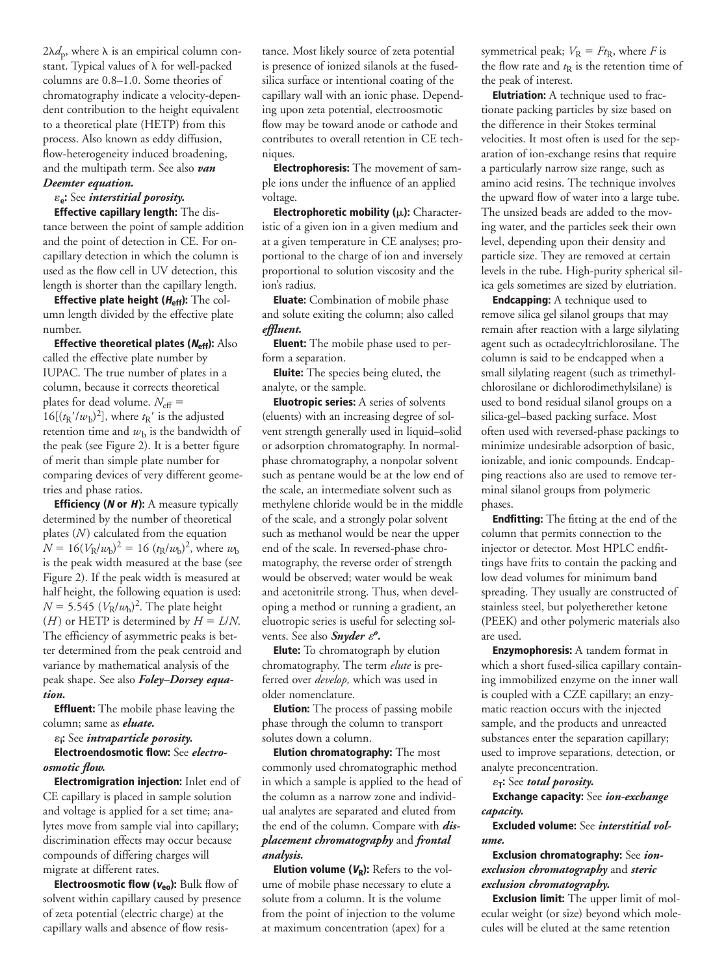$2\lambda d_{\rm p}$ , where  $\lambda$  is an empirical column constant. Typical values of  $\lambda$  for well-packed columns are 0.8–1.0. Some theories of chromatography indicate a velocity-dependent contribution to the height equivalent to a theoretical plate (HETP) from this process. Also known as eddy diffusion, flow-heterogeneity induced broadening, and the multipath term. See also *van Deemter equation.*

#### $\varepsilon_{e}$ : See *interstitial porosity*.

**Effective capillary length:** The distance between the point of sample addition and the point of detection in CE. For oncapillary detection in which the column is used as the flow cell in UV detection, this length is shorter than the capillary length.

**Effective plate height (** $H_{\text{eff}}$ **):** The column length divided by the effective plate number.

**Effective theoretical plates (Neff):** Also called the effective plate number by IUPAC. The true number of plates in a column, because it corrects theoretical plates for dead volume.  $N_{\text{eff}} =$  $16[(t<sub>R</sub>'/w<sub>b</sub>)<sup>2</sup>]$ , where  $t<sub>R</sub>'$  is the adjusted retention time and  $w<sub>b</sub>$  is the bandwidth of the peak (see Figure 2). It is a better figure of merit than simple plate number for comparing devices of very different geometries and phase ratios.

**Efficiency (<sup>N</sup> or H):** A measure typically determined by the number of theoretical plates (*N*) calculated from the equation  $N = 16(V_{\rm R}/w_{\rm b})^2 = 16 (t_{\rm R}/w_{\rm b})^2$ , where  $w_{\rm b}$ is the peak width measured at the base (see Figure 2). If the peak width is measured at half height, the following equation is used:  $N = 5.545 \ (V_R/w_h)^2$ . The plate height (*H*) or HETP is determined by  $H = L/N$ . The efficiency of asymmetric peaks is better determined from the peak centroid and variance by mathematical analysis of the peak shape. See also *Foley–Dorsey equation.*

**Effluent:** The mobile phase leaving the column; same as *eluate.*

«**i:** See *intraparticle porosity.*

**Electroendosmotic flow:** See *electroosmotic flow.*

**Electromigration injection:** Inlet end of CE capillary is placed in sample solution and voltage is applied for a set time; analytes move from sample vial into capillary; discrimination effects may occur because compounds of differing charges will migrate at different rates.

**Electroosmotic flow (veo):** Bulk flow of solvent within capillary caused by presence of zeta potential (electric charge) at the capillary walls and absence of flow resistance. Most likely source of zeta potential is presence of ionized silanols at the fusedsilica surface or intentional coating of the capillary wall with an ionic phase. Depending upon zeta potential, electroosmotic flow may be toward anode or cathode and contributes to overall retention in CE techniques.

**Electrophoresis:** The movement of sample ions under the influence of an applied voltage.

**Electrophoretic mobility (µ):** Characteristic of a given ion in a given medium and at a given temperature in CE analyses; proportional to the charge of ion and inversely proportional to solution viscosity and the ion's radius.

**Eluate:** Combination of mobile phase and solute exiting the column; also called *effluent.*

**Eluent:** The mobile phase used to perform a separation.

**Eluite:** The species being eluted, the analyte, or the sample.

**Eluotropic series:** A series of solvents (eluents) with an increasing degree of solvent strength generally used in liquid–solid or adsorption chromatography. In normalphase chromatography, a nonpolar solvent such as pentane would be at the low end of the scale, an intermediate solvent such as methylene chloride would be in the middle of the scale, and a strongly polar solvent such as methanol would be near the upper end of the scale. In reversed-phase chromatography, the reverse order of strength would be observed; water would be weak and acetonitrile strong. Thus, when developing a method or running a gradient, an eluotropic series is useful for selecting solvents. See also *Snyder &<sup>o</sup>*.

**Elute:** To chromatograph by elution chromatography. The term *elute* is preferred over *develop,* which was used in older nomenclature.

**Elution:** The process of passing mobile phase through the column to transport solutes down a column.

**Elution chromatography:** The most commonly used chromatographic method in which a sample is applied to the head of the column as a narrow zone and individual analytes are separated and eluted from the end of the column. Compare with *displacement chromatography* and *frontal analysis.*

**Elution volume (** $V_R$ **):** Refers to the volume of mobile phase necessary to elute a solute from a column. It is the volume from the point of injection to the volume at maximum concentration (apex) for a

symmetrical peak;  $V_R = Ft_R$ , where *F* is the flow rate and  $t<sub>R</sub>$  is the retention time of the peak of interest.

**Elutriation:** A technique used to fractionate packing particles by size based on the difference in their Stokes terminal velocities. It most often is used for the separation of ion-exchange resins that require a particularly narrow size range, such as amino acid resins. The technique involves the upward flow of water into a large tube. The unsized beads are added to the moving water, and the particles seek their own level, depending upon their density and particle size. They are removed at certain levels in the tube. High-purity spherical silica gels sometimes are sized by elutriation.

**Endcapping:** A technique used to remove silica gel silanol groups that may remain after reaction with a large silylating agent such as octadecyltrichlorosilane. The column is said to be endcapped when a small silylating reagent (such as trimethylchlorosilane or dichlorodimethylsilane) is used to bond residual silanol groups on a silica-gel–based packing surface. Most often used with reversed-phase packings to minimize undesirable adsorption of basic, ionizable, and ionic compounds. Endcapping reactions also are used to remove terminal silanol groups from polymeric phases.

**Endfitting:** The fitting at the end of the column that permits connection to the injector or detector. Most HPLC endfittings have frits to contain the packing and low dead volumes for minimum band spreading. They usually are constructed of stainless steel, but polyetherether ketone (PEEK) and other polymeric materials also are used.

**Enzymophoresis:** A tandem format in which a short fused-silica capillary containing immobilized enzyme on the inner wall is coupled with a CZE capillary; an enzymatic reaction occurs with the injected sample, and the products and unreacted substances enter the separation capillary; used to improve separations, detection, or analyte preconcentration.

 $\varepsilon_{\mathsf{T}}$ : See *total porosity*.

**Exchange capacity:** See *ion-exchange capacity.*

**Excluded volume:** See *interstitial volume.*

# **Exclusion chromatography:** See *ionexclusion chromatography* and *steric exclusion chromatography.*

**Exclusion limit:** The upper limit of molecular weight (or size) beyond which molecules will be eluted at the same retention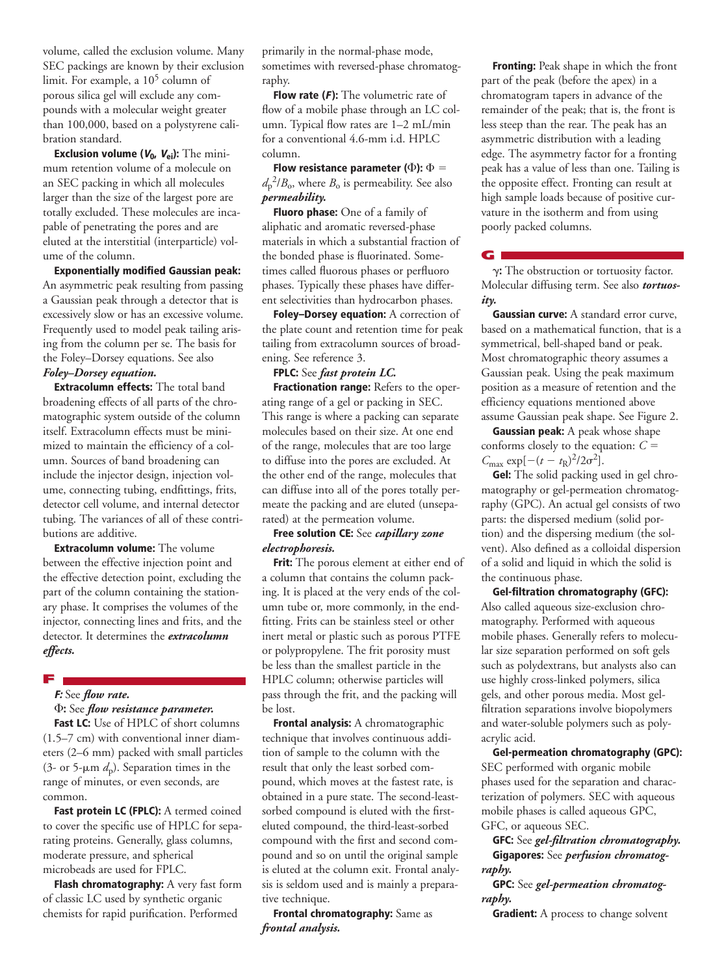volume, called the exclusion volume. Many SEC packings are known by their exclusion limit. For example, a  $10^5$  column of porous silica gel will exclude any compounds with a molecular weight greater than 100,000, based on a polystyrene calibration standard.

**Exclusion volume (V0, Vei):** The minimum retention volume of a molecule on an SEC packing in which all molecules larger than the size of the largest pore are totally excluded. These molecules are incapable of penetrating the pores and are eluted at the interstitial (interparticle) volume of the column.

**Exponentially modified Gaussian peak:** An asymmetric peak resulting from passing a Gaussian peak through a detector that is excessively slow or has an excessive volume. Frequently used to model peak tailing arising from the column per se. The basis for the Foley–Dorsey equations. See also

# *Foley–Dorsey equation.*

**Extracolumn effects:** The total band broadening effects of all parts of the chromatographic system outside of the column itself. Extracolumn effects must be minimized to maintain the efficiency of a column. Sources of band broadening can include the injector design, injection volume, connecting tubing, endfittings, frits, detector cell volume, and internal detector tubing. The variances of all of these contributions are additive.

**Extracolumn volume:** The volume between the effective injection point and the effective detection point, excluding the part of the column containing the stationary phase. It comprises the volumes of the injector, connecting lines and frits, and the detector. It determines the *extracolumn effects.*

# **F**

# **F:** See *flow rate.*

F**:** See *flow resistance parameter.* **Fast LC:** Use of HPLC of short columns (1.5–7 cm) with conventional inner diameters (2–6 mm) packed with small particles (3- or 5- $\mu$ m  $d_p$ ). Separation times in the range of minutes, or even seconds, are common.

**Fast protein LC (FPLC):** A termed coined to cover the specific use of HPLC for separating proteins. Generally, glass columns, moderate pressure, and spherical microbeads are used for FPLC.

**Flash chromatography:** A very fast form of classic LC used by synthetic organic chemists for rapid purification. Performed

primarily in the normal-phase mode, sometimes with reversed-phase chromatography.

**Flow rate (F):** The volumetric rate of flow of a mobile phase through an LC column. Typical flow rates are 1–2 mL/min for a conventional 4.6-mm i.d. HPLC column.

**Flow resistance parameter (** $\Phi$ **):**  $\Phi =$  $d_p^2/B_o$ , where  $B_o$  is permeability. See also *permeability.*

**Fluoro phase:** One of a family of aliphatic and aromatic reversed-phase materials in which a substantial fraction of the bonded phase is fluorinated. Sometimes called fluorous phases or perfluoro phases. Typically these phases have different selectivities than hydrocarbon phases.

**Foley–Dorsey equation:** A correction of the plate count and retention time for peak tailing from extracolumn sources of broadening. See reference 3.

#### **FPLC:** See *fast protein LC.*

**Fractionation range:** Refers to the operating range of a gel or packing in SEC. This range is where a packing can separate molecules based on their size. At one end of the range, molecules that are too large to diffuse into the pores are excluded. At the other end of the range, molecules that can diffuse into all of the pores totally permeate the packing and are eluted (unseparated) at the permeation volume.

#### **Free solution CE:** See *capillary zone electrophoresis.*

**Frit:** The porous element at either end of a column that contains the column packing. It is placed at the very ends of the column tube or, more commonly, in the endfitting. Frits can be stainless steel or other inert metal or plastic such as porous PTFE or polypropylene. The frit porosity must be less than the smallest particle in the HPLC column; otherwise particles will pass through the frit, and the packing will be lost.

**Frontal analysis:** A chromatographic technique that involves continuous addition of sample to the column with the result that only the least sorbed compound, which moves at the fastest rate, is obtained in a pure state. The second-leastsorbed compound is eluted with the firsteluted compound, the third-least-sorbed compound with the first and second compound and so on until the original sample is eluted at the column exit. Frontal analysis is seldom used and is mainly a preparative technique.

**Frontal chromatography:** Same as *frontal analysis.*

**Fronting:** Peak shape in which the front part of the peak (before the apex) in a chromatogram tapers in advance of the remainder of the peak; that is, the front is less steep than the rear. The peak has an asymmetric distribution with a leading edge. The asymmetry factor for a fronting peak has a value of less than one. Tailing is the opposite effect. Fronting can result at high sample loads because of positive curvature in the isotherm and from using poorly packed columns.

**G**

g**:** The obstruction or tortuosity factor. Molecular diffusing term. See also *tortuosity.*

**Gaussian curve:** A standard error curve, based on a mathematical function, that is a symmetrical, bell-shaped band or peak. Most chromatographic theory assumes a Gaussian peak. Using the peak maximum position as a measure of retention and the efficiency equations mentioned above assume Gaussian peak shape. See Figure 2.

**Gaussian peak:** A peak whose shape conforms closely to the equation:  $C =$  $C_{\text{max}} \exp[-(t - t_{\text{R}})^2/2\sigma^2].$ 

**Gel:** The solid packing used in gel chromatography or gel-permeation chromatography (GPC). An actual gel consists of two parts: the dispersed medium (solid portion) and the dispersing medium (the solvent). Also defined as a colloidal dispersion of a solid and liquid in which the solid is the continuous phase.

**Gel-filtration chromatography (GFC):** Also called aqueous size-exclusion chromatography. Performed with aqueous mobile phases. Generally refers to molecular size separation performed on soft gels such as polydextrans, but analysts also can use highly cross-linked polymers, silica gels, and other porous media. Most gelfiltration separations involve biopolymers and water-soluble polymers such as polyacrylic acid.

**Gel-permeation chromatography (GPC):** SEC performed with organic mobile phases used for the separation and characterization of polymers. SEC with aqueous mobile phases is called aqueous GPC, GFC, or aqueous SEC.

**GFC:** See *gel-filtration chromatography.* **Gigapores:** See *perfusion chromatography.*

**GPC:** See *gel-permeation chromatography.*

**Gradient:** A process to change solvent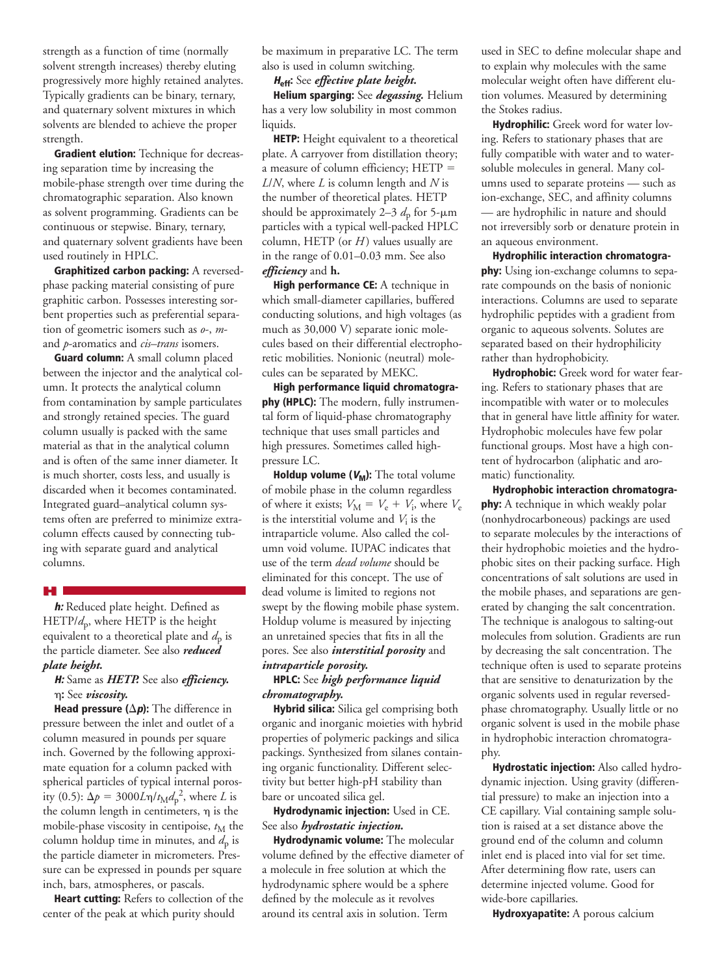strength as a function of time (normally solvent strength increases) thereby eluting progressively more highly retained analytes. Typically gradients can be binary, ternary, and quaternary solvent mixtures in which solvents are blended to achieve the proper strength.

**Gradient elution:** Technique for decreasing separation time by increasing the mobile-phase strength over time during the chromatographic separation. Also known as solvent programming. Gradients can be continuous or stepwise. Binary, ternary, and quaternary solvent gradients have been used routinely in HPLC.

**Graphitized carbon packing:** A reversedphase packing material consisting of pure graphitic carbon. Possesses interesting sorbent properties such as preferential separation of geometric isomers such as *o*-, *m*and *p*-aromatics and *cis–trans* isomers.

**Guard column:** A small column placed between the injector and the analytical column. It protects the analytical column from contamination by sample particulates and strongly retained species. The guard column usually is packed with the same material as that in the analytical column and is often of the same inner diameter. It is much shorter, costs less, and usually is discarded when it becomes contaminated. Integrated guard–analytical column systems often are preferred to minimize extracolumn effects caused by connecting tubing with separate guard and analytical columns.

#### **H**

**h:** Reduced plate height. Defined as HETP/ $d$ <sub>p</sub>, where HETP is the height equivalent to a theoretical plate and  $d_p$  is the particle diameter. See also *reduced plate height.*

# **H:** Same as *HETP.* See also *efficiency.* h**:** See *viscosity.*

**Head pressure (** $\Delta p$ **):** The difference in pressure between the inlet and outlet of a column measured in pounds per square inch. Governed by the following approximate equation for a column packed with spherical particles of typical internal porosity (0.5):  $\Delta p = 3000L\eta/t_M d_p^2$ , where *L* is the column length in centimeters,  $\eta$  is the mobile-phase viscosity in centipoise,  $t_M$  the column holdup time in minutes, and  $d_p$  is the particle diameter in micrometers. Pressure can be expressed in pounds per square inch, bars, atmospheres, or pascals.

**Heart cutting:** Refers to collection of the center of the peak at which purity should

be maximum in preparative LC. The term also is used in column switching.

#### **<sup>H</sup>eff:** See *effective plate height.*

**Helium sparging:** See *degassing.* Helium has a very low solubility in most common liquids.

**HETP:** Height equivalent to a theoretical plate. A carryover from distillation theory; a measure of column efficiency;  $HETP =$ *L*/*N*, where *L* is column length and *N* is the number of theoretical plates. HETP should be approximately 2–3  $d_p$  for 5- $\mu$ m particles with a typical well-packed HPLC column, HETP (or *H*) values usually are in the range of 0.01–0.03 mm. See also *efficiency* and **h.**

**High performance CE:** A technique in which small-diameter capillaries, buffered conducting solutions, and high voltages (as much as 30,000 V) separate ionic molecules based on their differential electrophoretic mobilities. Nonionic (neutral) molecules can be separated by MEKC.

**High performance liquid chromatography (HPLC):** The modern, fully instrumental form of liquid-phase chromatography technique that uses small particles and high pressures. Sometimes called highpressure LC.

**Holdup volume (** $V_M$ **):** The total volume of mobile phase in the column regardless of where it exists;  $V_M = V_e + V_i$ , where  $V_e$ is the interstitial volume and  $V_i$  is the intraparticle volume. Also called the column void volume. IUPAC indicates that use of the term *dead volume* should be eliminated for this concept. The use of dead volume is limited to regions not swept by the flowing mobile phase system. Holdup volume is measured by injecting an unretained species that fits in all the pores. See also *interstitial porosity* and *intraparticle porosity.*

# **HPLC:** See *high performance liquid chromatography.*

**Hybrid silica:** Silica gel comprising both organic and inorganic moieties with hybrid properties of polymeric packings and silica packings. Synthesized from silanes containing organic functionality. Different selectivity but better high-pH stability than bare or uncoated silica gel.

**Hydrodynamic injection:** Used in CE. See also *hydrostatic injection.*

**Hydrodynamic volume:** The molecular volume defined by the effective diameter of a molecule in free solution at which the hydrodynamic sphere would be a sphere defined by the molecule as it revolves around its central axis in solution. Term

used in SEC to define molecular shape and to explain why molecules with the same molecular weight often have different elution volumes. Measured by determining the Stokes radius.

**Hydrophilic:** Greek word for water loving. Refers to stationary phases that are fully compatible with water and to watersoluble molecules in general. Many columns used to separate proteins — such as ion-exchange, SEC, and affinity columns — are hydrophilic in nature and should not irreversibly sorb or denature protein in an aqueous environment.

**Hydrophilic interaction chromatography:** Using ion-exchange columns to separate compounds on the basis of nonionic interactions. Columns are used to separate hydrophilic peptides with a gradient from organic to aqueous solvents. Solutes are separated based on their hydrophilicity rather than hydrophobicity.

**Hydrophobic:** Greek word for water fearing. Refers to stationary phases that are incompatible with water or to molecules that in general have little affinity for water. Hydrophobic molecules have few polar functional groups. Most have a high content of hydrocarbon (aliphatic and aromatic) functionality.

**Hydrophobic interaction chromatography:** A technique in which weakly polar (nonhydrocarboneous) packings are used to separate molecules by the interactions of their hydrophobic moieties and the hydrophobic sites on their packing surface. High concentrations of salt solutions are used in the mobile phases, and separations are generated by changing the salt concentration. The technique is analogous to salting-out molecules from solution. Gradients are run by decreasing the salt concentration. The technique often is used to separate proteins that are sensitive to denaturization by the organic solvents used in regular reversedphase chromatography. Usually little or no organic solvent is used in the mobile phase in hydrophobic interaction chromatography.

**Hydrostatic injection:** Also called hydrodynamic injection. Using gravity (differential pressure) to make an injection into a CE capillary. Vial containing sample solution is raised at a set distance above the ground end of the column and column inlet end is placed into vial for set time. After determining flow rate, users can determine injected volume. Good for wide-bore capillaries.

**Hydroxyapatite:** A porous calcium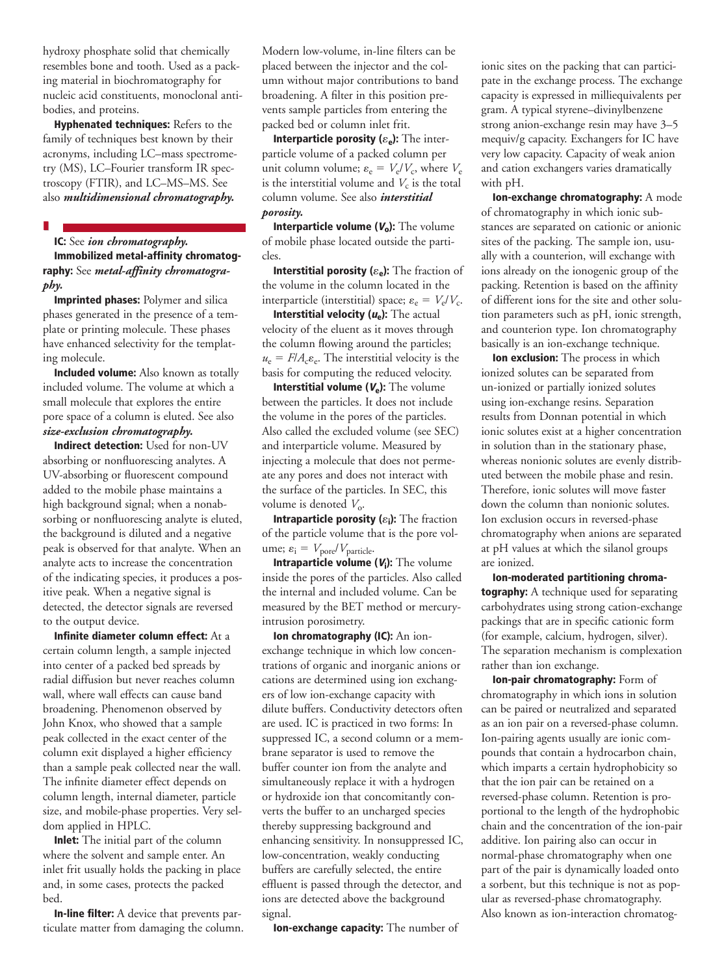hydroxy phosphate solid that chemically resembles bone and tooth. Used as a packing material in biochromatography for nucleic acid constituents, monoclonal antibodies, and proteins.

**Hyphenated techniques:** Refers to the family of techniques best known by their acronyms, including LC–mass spectrometry (MS), LC–Fourier transform IR spectroscopy (FTIR), and LC–MS–MS. See also *multidimensional chromatography.*

**I**

# **IC:** See *ion chromatography.* **Immobilized metal-affinity chromatography:** See *metal-affinity chromatogra-*

*phy.*

**Imprinted phases:** Polymer and silica phases generated in the presence of a template or printing molecule. These phases have enhanced selectivity for the templating molecule.

**Included volume:** Also known as totally included volume. The volume at which a small molecule that explores the entire pore space of a column is eluted. See also *size-exclusion chromatography.*

**Indirect detection:** Used for non-UV absorbing or nonfluorescing analytes. A UV-absorbing or fluorescent compound added to the mobile phase maintains a high background signal; when a nonabsorbing or nonfluorescing analyte is eluted, the background is diluted and a negative peak is observed for that analyte. When an analyte acts to increase the concentration of the indicating species, it produces a positive peak. When a negative signal is detected, the detector signals are reversed to the output device.

**Infinite diameter column effect:** At a certain column length, a sample injected into center of a packed bed spreads by radial diffusion but never reaches column wall, where wall effects can cause band broadening. Phenomenon observed by John Knox, who showed that a sample peak collected in the exact center of the column exit displayed a higher efficiency than a sample peak collected near the wall. The infinite diameter effect depends on column length, internal diameter, particle size, and mobile-phase properties. Very seldom applied in HPLC.

**Inlet:** The initial part of the column where the solvent and sample enter. An inlet frit usually holds the packing in place and, in some cases, protects the packed bed.

**In-line filter:** A device that prevents particulate matter from damaging the column. Modern low-volume, in-line filters can be placed between the injector and the column without major contributions to band broadening. A filter in this position prevents sample particles from entering the packed bed or column inlet frit.

**Interparticle porosity (** $\varepsilon_e$ **):** The interparticle volume of a packed column per unit column volume;  $\varepsilon_e = V_e/V_c$ , where  $V_e$ is the interstitial volume and  $V_c$  is the total column volume. See also *interstitial porosity.*

**Interparticle volume (** $V_0$ **):** The volume of mobile phase located outside the particles.

**Interstitial porosity (** $\varepsilon_e$ **):** The fraction of the volume in the column located in the interparticle (interstitial) space;  $\varepsilon_e = V_e/V_c$ .

**Interstitial velocity (ue):** The actual velocity of the eluent as it moves through the column flowing around the particles;  $u_e = F/A_c \varepsilon_e$ . The interstitial velocity is the basis for computing the reduced velocity.

**Interstitial volume (** $V$ **<sup>e</sup>):** The volume between the particles. It does not include the volume in the pores of the particles. Also called the excluded volume (see SEC) and interparticle volume. Measured by injecting a molecule that does not permeate any pores and does not interact with the surface of the particles. In SEC, this volume is denoted  $V_0$ .

**Intraparticle porosity (** $\varepsilon$ **<sub>i</sub>):** The fraction of the particle volume that is the pore volume;  $\varepsilon_i = V_{\text{pore}}/V_{\text{particle}}$ .

**Intraparticle volume (** $V_i$ **):** The volume inside the pores of the particles. Also called the internal and included volume. Can be measured by the BET method or mercuryintrusion porosimetry.

**Ion chromatography (IC):** An ionexchange technique in which low concentrations of organic and inorganic anions or cations are determined using ion exchangers of low ion-exchange capacity with dilute buffers. Conductivity detectors often are used. IC is practiced in two forms: In suppressed IC, a second column or a membrane separator is used to remove the buffer counter ion from the analyte and simultaneously replace it with a hydrogen or hydroxide ion that concomitantly converts the buffer to an uncharged species thereby suppressing background and enhancing sensitivity. In nonsuppressed IC, low-concentration, weakly conducting buffers are carefully selected, the entire effluent is passed through the detector, and ions are detected above the background signal.

**Ion-exchange capacity:** The number of

ionic sites on the packing that can participate in the exchange process. The exchange capacity is expressed in milliequivalents per gram. A typical styrene–divinylbenzene strong anion-exchange resin may have 3–5 mequiv/g capacity. Exchangers for IC have very low capacity. Capacity of weak anion and cation exchangers varies dramatically with pH.

**Ion-exchange chromatography:** A mode of chromatography in which ionic substances are separated on cationic or anionic sites of the packing. The sample ion, usually with a counterion, will exchange with ions already on the ionogenic group of the packing. Retention is based on the affinity of different ions for the site and other solution parameters such as pH, ionic strength, and counterion type. Ion chromatography basically is an ion-exchange technique.

**Ion exclusion:** The process in which ionized solutes can be separated from un-ionized or partially ionized solutes using ion-exchange resins. Separation results from Donnan potential in which ionic solutes exist at a higher concentration in solution than in the stationary phase, whereas nonionic solutes are evenly distributed between the mobile phase and resin. Therefore, ionic solutes will move faster down the column than nonionic solutes. Ion exclusion occurs in reversed-phase chromatography when anions are separated at pH values at which the silanol groups are ionized.

**Ion-moderated partitioning chromatography:** A technique used for separating carbohydrates using strong cation-exchange packings that are in specific cationic form (for example, calcium, hydrogen, silver). The separation mechanism is complexation rather than ion exchange.

**Ion-pair chromatography:** Form of chromatography in which ions in solution can be paired or neutralized and separated as an ion pair on a reversed-phase column. Ion-pairing agents usually are ionic compounds that contain a hydrocarbon chain, which imparts a certain hydrophobicity so that the ion pair can be retained on a reversed-phase column. Retention is proportional to the length of the hydrophobic chain and the concentration of the ion-pair additive. Ion pairing also can occur in normal-phase chromatography when one part of the pair is dynamically loaded onto a sorbent, but this technique is not as popular as reversed-phase chromatography. Also known as ion-interaction chromatog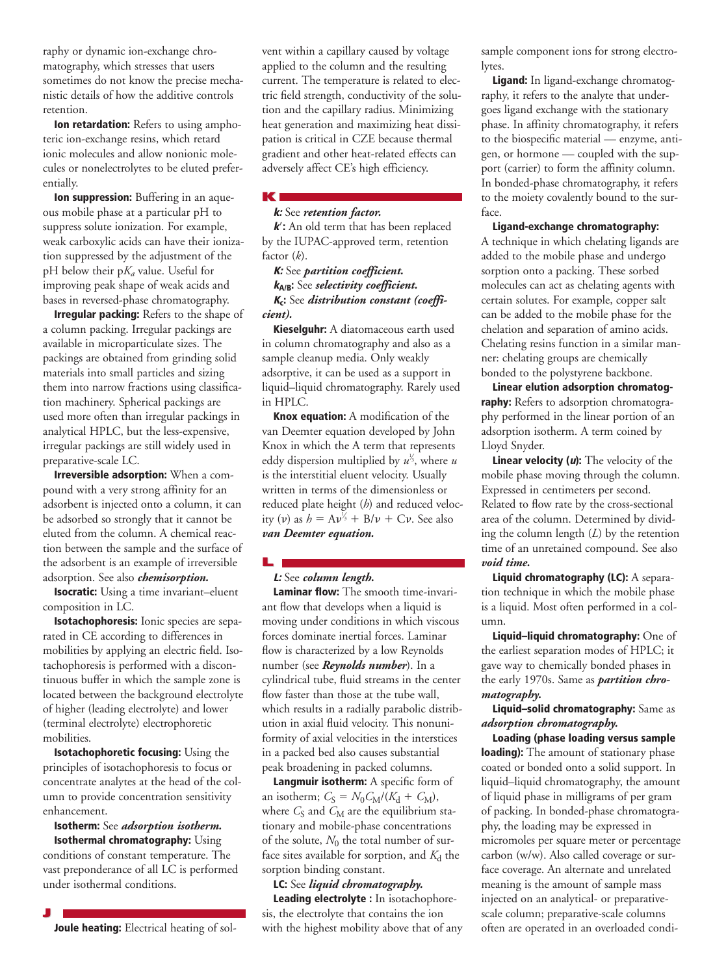raphy or dynamic ion-exchange chromatography, which stresses that users sometimes do not know the precise mechanistic details of how the additive controls retention.

**Ion retardation:** Refers to using amphoteric ion-exchange resins, which retard ionic molecules and allow nonionic molecules or nonelectrolytes to be eluted preferentially.

**Ion suppression:** Buffering in an aqueous mobile phase at a particular pH to suppress solute ionization. For example, weak carboxylic acids can have their ionization suppressed by the adjustment of the pH below their p*Ka* value. Useful for improving peak shape of weak acids and bases in reversed-phase chromatography.

**Irregular packing:** Refers to the shape of a column packing. Irregular packings are available in microparticulate sizes. The packings are obtained from grinding solid materials into small particles and sizing them into narrow fractions using classification machinery. Spherical packings are used more often than irregular packings in analytical HPLC, but the less-expensive, irregular packings are still widely used in preparative-scale LC.

**Irreversible adsorption:** When a compound with a very strong affinity for an adsorbent is injected onto a column, it can be adsorbed so strongly that it cannot be eluted from the column. A chemical reaction between the sample and the surface of the adsorbent is an example of irreversible adsorption. See also *chemisorption.*

**Isocratic:** Using a time invariant–eluent composition in LC.

**Isotachophoresis:** Ionic species are separated in CE according to differences in mobilities by applying an electric field. Isotachophoresis is performed with a discontinuous buffer in which the sample zone is located between the background electrolyte of higher (leading electrolyte) and lower (terminal electrolyte) electrophoretic mobilities.

**Isotachophoretic focusing:** Using the principles of isotachophoresis to focus or concentrate analytes at the head of the column to provide concentration sensitivity enhancement.

**Isotherm:** See *adsorption isotherm.*

**Isothermal chromatography:** Using conditions of constant temperature. The vast preponderance of all LC is performed under isothermal conditions.

**J Joule heating:** Electrical heating of solvent within a capillary caused by voltage applied to the column and the resulting current. The temperature is related to electric field strength, conductivity of the solution and the capillary radius. Minimizing heat generation and maximizing heat dissipation is critical in CZE because thermal gradient and other heat-related effects can adversely affect CE's high efficiency.

# **k:** See *retention factor.*

**K**

**k**<sup>2</sup>: An old term that has been replaced by the IUPAC-approved term, retention factor (*k*).

**K:** See *partition coefficient.* **<sup>k</sup>A/B:** See *selectivity coefficient.* **Kc:** See *distribution constant (coefficient).*

**Kieselguhr:** A diatomaceous earth used in column chromatography and also as a sample cleanup media. Only weakly adsorptive, it can be used as a support in liquid–liquid chromatography. Rarely used in HPLC.

**Knox equation:** A modification of the van Deemter equation developed by John Knox in which the A term that represents eddy dispersion multiplied by *u* 1 3, where *u* ⁄ is the interstitial eluent velocity. Usually written in terms of the dimensionless or reduced plate height (*h*) and reduced velocity (*v*) as  $h = Av^{\frac{1}{3}} + B/\nu + Cv$ . See also ⁄ *van Deemter equation.*

# **L L:** See *column length.*

**Laminar flow:** The smooth time-invariant flow that develops when a liquid is moving under conditions in which viscous forces dominate inertial forces. Laminar flow is characterized by a low Reynolds number (see *Reynolds number*). In a cylindrical tube, fluid streams in the center flow faster than those at the tube wall, which results in a radially parabolic distribution in axial fluid velocity. This nonuniformity of axial velocities in the interstices in a packed bed also causes substantial peak broadening in packed columns.

**Langmuir isotherm:** A specific form of an isotherm;  $C_S = N_0 C_M / (K_d + C_M)$ , where  $C_S$  and  $C_M$  are the equilibrium stationary and mobile-phase concentrations of the solute,  $N_0$  the total number of surface sites available for sorption, and  $K_d$  the sorption binding constant.

#### **LC:** See *liquid chromatography.*

**Leading electrolyte :** In isotachophoresis, the electrolyte that contains the ion with the highest mobility above that of any sample component ions for strong electrolytes.

**Ligand:** In ligand-exchange chromatography, it refers to the analyte that undergoes ligand exchange with the stationary phase. In affinity chromatography, it refers to the biospecific material — enzyme, antigen, or hormone — coupled with the support (carrier) to form the affinity column. In bonded-phase chromatography, it refers to the moiety covalently bound to the surface.

**Ligand-exchange chromatography:**  A technique in which chelating ligands are added to the mobile phase and undergo sorption onto a packing. These sorbed molecules can act as chelating agents with certain solutes. For example, copper salt can be added to the mobile phase for the chelation and separation of amino acids. Chelating resins function in a similar manner: chelating groups are chemically bonded to the polystyrene backbone.

**Linear elution adsorption chromatography:** Refers to adsorption chromatography performed in the linear portion of an adsorption isotherm. A term coined by Lloyd Snyder.

**Linear velocity (u):** The velocity of the mobile phase moving through the column. Expressed in centimeters per second. Related to flow rate by the cross-sectional area of the column. Determined by dividing the column length (*L*) by the retention time of an unretained compound. See also *void time.*

**Liquid chromatography (LC):** A separation technique in which the mobile phase is a liquid. Most often performed in a column.

**Liquid–liquid chromatography:** One of the earliest separation modes of HPLC; it gave way to chemically bonded phases in the early 1970s. Same as *partition chromatography.*

**Liquid–solid chromatography:** Same as *adsorption chromatography.*

**Loading (phase loading versus sample loading):** The amount of stationary phase coated or bonded onto a solid support. In liquid–liquid chromatography, the amount of liquid phase in milligrams of per gram of packing. In bonded-phase chromatography, the loading may be expressed in micromoles per square meter or percentage carbon (w/w). Also called coverage or surface coverage. An alternate and unrelated meaning is the amount of sample mass injected on an analytical- or preparativescale column; preparative-scale columns often are operated in an overloaded condi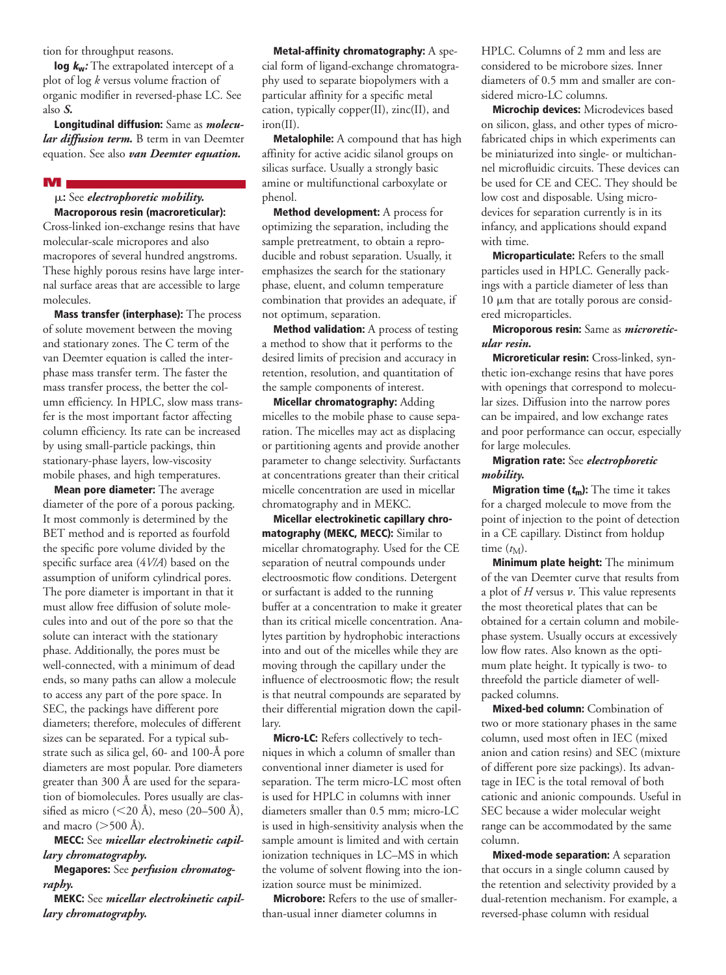tion for throughput reasons.

**log kw:** The extrapolated intercept of a plot of log *k* versus volume fraction of organic modifier in reversed-phase LC. See also *S.*

**Longitudinal diffusion:** Same as *molecular diffusion term.* B term in van Deemter equation. See also *van Deemter equation.*

#### **M**

m**:** See *electrophoretic mobility.* **Macroporous resin (macroreticular):**

Cross-linked ion-exchange resins that have molecular-scale micropores and also macropores of several hundred angstroms. These highly porous resins have large internal surface areas that are accessible to large molecules.

**Mass transfer (interphase):** The process of solute movement between the moving and stationary zones. The C term of the van Deemter equation is called the interphase mass transfer term. The faster the mass transfer process, the better the column efficiency. In HPLC, slow mass transfer is the most important factor affecting column efficiency. Its rate can be increased by using small-particle packings, thin stationary-phase layers, low-viscosity mobile phases, and high temperatures.

**Mean pore diameter:** The average diameter of the pore of a porous packing. It most commonly is determined by the BET method and is reported as fourfold the specific pore volume divided by the specific surface area (4*V/A*) based on the assumption of uniform cylindrical pores. The pore diameter is important in that it must allow free diffusion of solute molecules into and out of the pore so that the solute can interact with the stationary phase. Additionally, the pores must be well-connected, with a minimum of dead ends, so many paths can allow a molecule to access any part of the pore space. In SEC, the packings have different pore diameters; therefore, molecules of different sizes can be separated. For a typical substrate such as silica gel, 60- and 100-Å pore diameters are most popular. Pore diameters greater than 300 Å are used for the separation of biomolecules. Pores usually are classified as micro (<20 Å), meso (20–500 Å), and macro  $(>500 \text{ Å})$ .

**MECC:** See *micellar electrokinetic capillary chromatography.*

#### **Megapores:** See *perfusion chromatography.*

**MEKC:** See *micellar electrokinetic capillary chromatography.*

**Metal-affinity chromatography:** A special form of ligand-exchange chromatography used to separate biopolymers with a particular affinity for a specific metal cation, typically copper(II), zinc(II), and iron(II).

**Metalophile:** A compound that has high affinity for active acidic silanol groups on silicas surface. Usually a strongly basic amine or multifunctional carboxylate or phenol.

**Method development:** A process for optimizing the separation, including the sample pretreatment, to obtain a reproducible and robust separation. Usually, it emphasizes the search for the stationary phase, eluent, and column temperature combination that provides an adequate, if not optimum, separation.

**Method validation:** A process of testing a method to show that it performs to the desired limits of precision and accuracy in retention, resolution, and quantitation of the sample components of interest.

**Micellar chromatography:** Adding micelles to the mobile phase to cause separation. The micelles may act as displacing or partitioning agents and provide another parameter to change selectivity. Surfactants at concentrations greater than their critical micelle concentration are used in micellar chromatography and in MEKC.

**Micellar electrokinetic capillary chromatography (MEKC, MECC):** Similar to micellar chromatography. Used for the CE separation of neutral compounds under electroosmotic flow conditions. Detergent or surfactant is added to the running buffer at a concentration to make it greater than its critical micelle concentration. Analytes partition by hydrophobic interactions into and out of the micelles while they are moving through the capillary under the influence of electroosmotic flow; the result is that neutral compounds are separated by their differential migration down the capillary.

**Micro-LC:** Refers collectively to techniques in which a column of smaller than conventional inner diameter is used for separation. The term micro-LC most often is used for HPLC in columns with inner diameters smaller than 0.5 mm; micro-LC is used in high-sensitivity analysis when the sample amount is limited and with certain ionization techniques in LC–MS in which the volume of solvent flowing into the ionization source must be minimized.

**Microbore:** Refers to the use of smallerthan-usual inner diameter columns in

HPLC. Columns of 2 mm and less are considered to be microbore sizes. Inner diameters of 0.5 mm and smaller are considered micro-LC columns.

**Microchip devices:** Microdevices based on silicon, glass, and other types of microfabricated chips in which experiments can be miniaturized into single- or multichannel microfluidic circuits. These devices can be used for CE and CEC. They should be low cost and disposable. Using microdevices for separation currently is in its infancy, and applications should expand with time.

**Microparticulate:** Refers to the small particles used in HPLC. Generally packings with a particle diameter of less than  $10 \mu m$  that are totally porous are considered microparticles.

**Microporous resin:** Same as *microreticular resin.*

**Microreticular resin:** Cross-linked, synthetic ion-exchange resins that have pores with openings that correspond to molecular sizes. Diffusion into the narrow pores can be impaired, and low exchange rates and poor performance can occur, especially for large molecules.

## **Migration rate:** See *electrophoretic mobility.*

**Migration time (tm):** The time it takes for a charged molecule to move from the point of injection to the point of detection in a CE capillary. Distinct from holdup time  $(t_M)$ .

**Minimum plate height:** The minimum of the van Deemter curve that results from a plot of  $H$  versus  $v$ . This value represents the most theoretical plates that can be obtained for a certain column and mobilephase system. Usually occurs at excessively low flow rates. Also known as the optimum plate height. It typically is two- to threefold the particle diameter of wellpacked columns.

**Mixed-bed column:** Combination of two or more stationary phases in the same column, used most often in IEC (mixed anion and cation resins) and SEC (mixture of different pore size packings). Its advantage in IEC is the total removal of both cationic and anionic compounds. Useful in SEC because a wider molecular weight range can be accommodated by the same column.

**Mixed-mode separation:** A separation that occurs in a single column caused by the retention and selectivity provided by a dual-retention mechanism. For example, a reversed-phase column with residual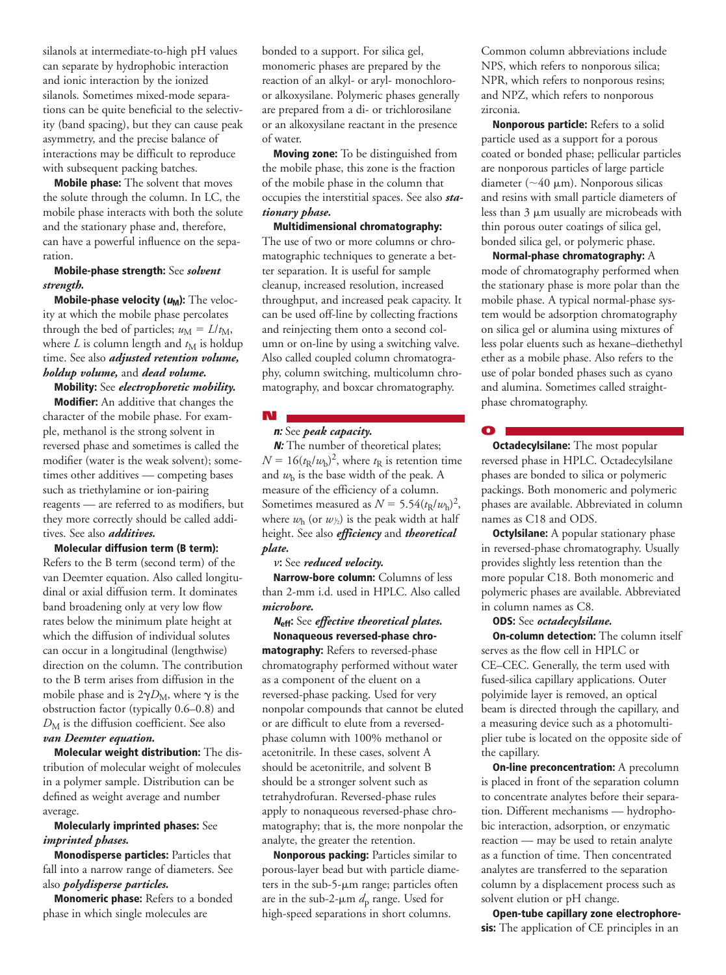silanols at intermediate-to-high pH values can separate by hydrophobic interaction and ionic interaction by the ionized silanols. Sometimes mixed-mode separations can be quite beneficial to the selectivity (band spacing), but they can cause peak asymmetry, and the precise balance of interactions may be difficult to reproduce with subsequent packing batches.

**Mobile phase:** The solvent that moves the solute through the column. In LC, the mobile phase interacts with both the solute and the stationary phase and, therefore, can have a powerful influence on the separation.

# **Mobile-phase strength:** See *solvent strength.*

**Mobile-phase velocity (** $u_M$ **):** The velocity at which the mobile phase percolates through the bed of particles;  $u_M = L/t_M$ , where  $L$  is column length and  $t_M$  is holdup time. See also *adjusted retention volume, holdup volume,* and *dead volume.*

**Mobility:** See *electrophoretic mobility.* **Modifier:** An additive that changes the character of the mobile phase. For example, methanol is the strong solvent in reversed phase and sometimes is called the modifier (water is the weak solvent); sometimes other additives — competing bases such as triethylamine or ion-pairing reagents — are referred to as modifiers, but they more correctly should be called additives. See also *additives.*

## **Molecular diffusion term (B term):**

Refers to the B term (second term) of the van Deemter equation. Also called longitudinal or axial diffusion term. It dominates band broadening only at very low flow rates below the minimum plate height at which the diffusion of individual solutes can occur in a longitudinal (lengthwise) direction on the column. The contribution to the B term arises from diffusion in the mobile phase and is  $2\gamma D_M$ , where  $\gamma$  is the obstruction factor (typically 0.6–0.8) and *D*<sup>M</sup> is the diffusion coefficient. See also *van Deemter equation.*

**Molecular weight distribution:** The distribution of molecular weight of molecules in a polymer sample. Distribution can be defined as weight average and number average.

## **Molecularly imprinted phases:** See *imprinted phases.*

**Monodisperse particles:** Particles that fall into a narrow range of diameters. See also *polydisperse particles.*

**Monomeric phase:** Refers to a bonded phase in which single molecules are

bonded to a support. For silica gel, monomeric phases are prepared by the reaction of an alkyl- or aryl- monochloroor alkoxysilane. Polymeric phases generally are prepared from a di- or trichlorosilane or an alkoxysilane reactant in the presence of water.

**Moving zone:** To be distinguished from the mobile phase, this zone is the fraction of the mobile phase in the column that occupies the interstitial spaces. See also *stationary phase.*

**Multidimensional chromatography:** The use of two or more columns or chromatographic techniques to generate a better separation. It is useful for sample cleanup, increased resolution, increased throughput, and increased peak capacity. It can be used off-line by collecting fractions and reinjecting them onto a second column or on-line by using a switching valve. Also called coupled column chromatography, column switching, multicolumn chromatography, and boxcar chromatography.

# **N**

# **n:** See *peak capacity.*

**N:** The number of theoretical plates;  $N = 16(t<sub>R</sub>/w<sub>b</sub>)<sup>2</sup>$ , where  $t<sub>R</sub>$  is retention time and  $w<sub>b</sub>$  is the base width of the peak. A measure of the efficiency of a column. Sometimes measured as  $N = 5.54(t_R/w_h)^2$ , where  $w_{\rm h}$  (or  $w_{\rm h}$ ) is the peak width at half height. See also *efficiency* and *theoretical plate.*

# $\nu$ : See *reduced velocity*.

**Narrow-bore column:** Columns of less than 2-mm i.d. used in HPLC. Also called *microbore.*

**<sup>N</sup>eff:** See *effective theoretical plates.* **Nonaqueous reversed-phase chromatography:** Refers to reversed-phase chromatography performed without water as a component of the eluent on a reversed-phase packing. Used for very nonpolar compounds that cannot be eluted or are difficult to elute from a reversedphase column with 100% methanol or acetonitrile. In these cases, solvent A should be acetonitrile, and solvent B should be a stronger solvent such as tetrahydrofuran. Reversed-phase rules apply to nonaqueous reversed-phase chromatography; that is, the more nonpolar the analyte, the greater the retention.

**Nonporous packing:** Particles similar to porous-layer bead but with particle diameters in the sub-5- $\mu$ m range; particles often are in the sub-2-mm *d*<sup>p</sup> range. Used for high-speed separations in short columns.

Common column abbreviations include NPS, which refers to nonporous silica; NPR, which refers to nonporous resins; and NPZ, which refers to nonporous zirconia.

**Nonporous particle:** Refers to a solid particle used as a support for a porous coated or bonded phase; pellicular particles are nonporous particles of large particle diameter ( $\sim$ 40 µm). Nonporous silicas and resins with small particle diameters of less than  $3 \mu m$  usually are microbeads with thin porous outer coatings of silica gel, bonded silica gel, or polymeric phase.

**Normal-phase chromatography:** A mode of chromatography performed when the stationary phase is more polar than the mobile phase. A typical normal-phase system would be adsorption chromatography on silica gel or alumina using mixtures of less polar eluents such as hexane–diethethyl ether as a mobile phase. Also refers to the use of polar bonded phases such as cyano and alumina. Sometimes called straightphase chromatography.

#### **O**

**Octadecylsilane:** The most popular reversed phase in HPLC. Octadecylsilane phases are bonded to silica or polymeric packings. Both monomeric and polymeric phases are available. Abbreviated in column names as C18 and ODS.

**Octylsilane:** A popular stationary phase in reversed-phase chromatography. Usually provides slightly less retention than the more popular C18. Both monomeric and polymeric phases are available. Abbreviated in column names as C8.

#### **ODS:** See *octadecylsilane.*

**On-column detection:** The column itself serves as the flow cell in HPLC or CE–CEC. Generally, the term used with fused-silica capillary applications. Outer polyimide layer is removed, an optical beam is directed through the capillary, and a measuring device such as a photomultiplier tube is located on the opposite side of the capillary.

**On-line preconcentration:** A precolumn is placed in front of the separation column to concentrate analytes before their separation. Different mechanisms — hydrophobic interaction, adsorption, or enzymatic reaction — may be used to retain analyte as a function of time. Then concentrated analytes are transferred to the separation column by a displacement process such as solvent elution or pH change.

**Open-tube capillary zone electrophoresis:** The application of CE principles in an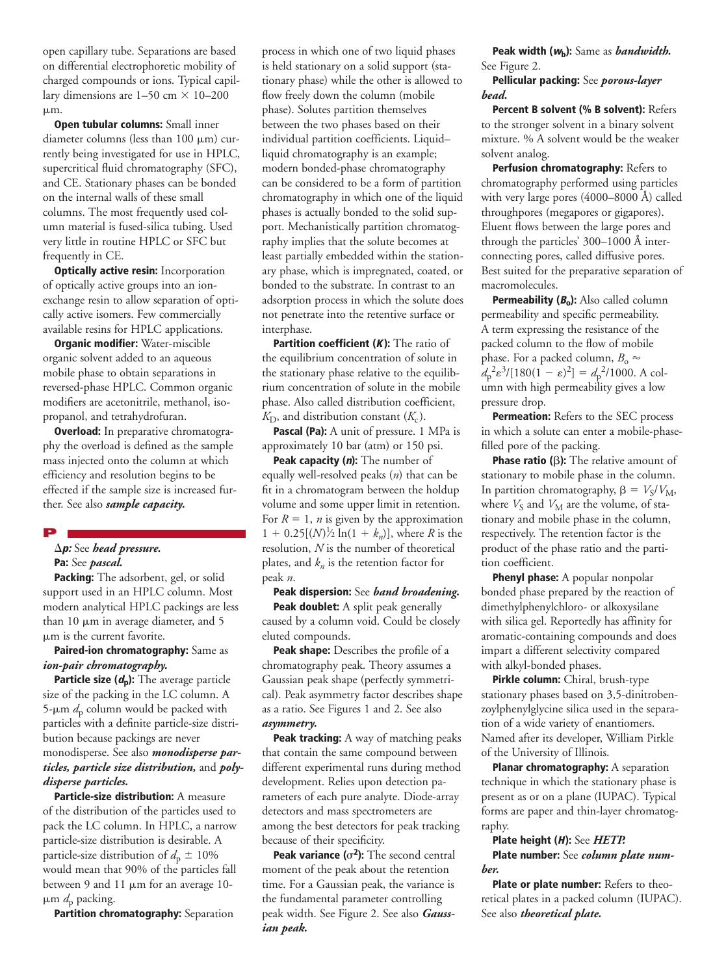open capillary tube. Separations are based on differential electrophoretic mobility of charged compounds or ions. Typical capillary dimensions are  $1-50$  cm  $\times$  10–200  $µm.$ 

**Open tubular columns:** Small inner diameter columns (less than  $100 \mu m$ ) currently being investigated for use in HPLC, supercritical fluid chromatography (SFC), and CE. Stationary phases can be bonded on the internal walls of these small columns. The most frequently used column material is fused-silica tubing. Used very little in routine HPLC or SFC but frequently in CE.

**Optically active resin:** Incorporation of optically active groups into an ionexchange resin to allow separation of optically active isomers. Few commercially available resins for HPLC applications.

**Organic modifier:** Water-miscible organic solvent added to an aqueous mobile phase to obtain separations in reversed-phase HPLC. Common organic modifiers are acetonitrile, methanol, isopropanol, and tetrahydrofuran.

**Overload:** In preparative chromatography the overload is defined as the sample mass injected onto the column at which efficiency and resolution begins to be effected if the sample size is increased further. See also *sample capacity.*

#### **P**

## $\Delta p$ : See *head pressure*. **Pa:** See *pascal.*

**Packing:** The adsorbent, gel, or solid support used in an HPLC column. Most modern analytical HPLC packings are less than  $10 \mu m$  in average diameter, and  $5 \mu m$  $\mu$ m is the current favorite.

# **Paired-ion chromatography:** Same as *ion-pair chromatography.*

**Particle size (dp):** The average particle size of the packing in the LC column. A 5- $\mu$ m  $d_p$  column would be packed with particles with a definite particle-size distribution because packings are never monodisperse. See also *monodisperse particles, particle size distribution,* and *polydisperse particles.*

**Particle-size distribution:** A measure of the distribution of the particles used to pack the LC column. In HPLC, a narrow particle-size distribution is desirable. A particle-size distribution of  $d_p \pm 10\%$ would mean that 90% of the particles fall between 9 and 11  $\mu$ m for an average 10- $\mu$ m  $d_p$  packing.

**Partition chromatography:** Separation

process in which one of two liquid phases is held stationary on a solid support (stationary phase) while the other is allowed to flow freely down the column (mobile phase). Solutes partition themselves between the two phases based on their individual partition coefficients. Liquid– liquid chromatography is an example; modern bonded-phase chromatography can be considered to be a form of partition chromatography in which one of the liquid phases is actually bonded to the solid support. Mechanistically partition chromatography implies that the solute becomes at least partially embedded within the stationary phase, which is impregnated, coated, or bonded to the substrate. In contrast to an adsorption process in which the solute does not penetrate into the retentive surface or interphase.

**Partition coefficient (K):** The ratio of the equilibrium concentration of solute in the stationary phase relative to the equilibrium concentration of solute in the mobile phase. Also called distribution coefficient,  $K_D$ , and distribution constant  $(K_c)$ .

**Pascal (Pa):** A unit of pressure. 1 MPa is approximately 10 bar (atm) or 150 psi.

**Peak capacity (n):** The number of equally well-resolved peaks (*n*) that can be fit in a chromatogram between the holdup volume and some upper limit in retention. For  $R = 1$ , *n* is given by the approximation  $1 + 0.25[(N)]_2 \ln(1 + k_n)$ , where *R* is the resolution, *N* is the number of theoretical plates, and  $k_n$  is the retention factor for peak *n*.

**Peak dispersion:** See *band broadening.* **Peak doublet:** A split peak generally caused by a column void. Could be closely eluted compounds.

**Peak shape:** Describes the profile of a chromatography peak. Theory assumes a Gaussian peak shape (perfectly symmetrical). Peak asymmetry factor describes shape as a ratio. See Figures 1 and 2. See also *asymmetry.*

**Peak tracking:** A way of matching peaks that contain the same compound between different experimental runs during method development. Relies upon detection parameters of each pure analyte. Diode-array detectors and mass spectrometers are among the best detectors for peak tracking because of their specificity.

**Peak variance (** $\sigma^2$ **):** The second central moment of the peak about the retention time. For a Gaussian peak, the variance is the fundamental parameter controlling peak width. See Figure 2. See also *Gaussian peak.*

**Peak width (wb):** Same as *bandwidth.* See Figure 2.

#### **Pellicular packing:** See *porous-layer bead.*

**Percent B solvent (% B solvent):** Refers to the stronger solvent in a binary solvent mixture. % A solvent would be the weaker solvent analog.

**Perfusion chromatography:** Refers to chromatography performed using particles with very large pores (4000–8000 Å) called throughpores (megapores or gigapores). Eluent flows between the large pores and through the particles' 300–1000 Å interconnecting pores, called diffusive pores. Best suited for the preparative separation of macromolecules.

**Permeability (Bo):** Also called column permeability and specific permeability. A term expressing the resistance of the packed column to the flow of mobile phase. For a packed column,  $B_0 \approx$  $d_p^2 \varepsilon^3 / [180(1 - \varepsilon)^2] = d_p^2 / 1000$ . A column with high permeability gives a low pressure drop.

**Permeation:** Refers to the SEC process in which a solute can enter a mobile-phasefilled pore of the packing.

**Phase ratio (B):** The relative amount of stationary to mobile phase in the column. In partition chromatography,  $\beta = V_S/V_M$ , where  $V_S$  and  $V_M$  are the volume, of stationary and mobile phase in the column, respectively. The retention factor is the product of the phase ratio and the partition coefficient.

**Phenyl phase:** A popular nonpolar bonded phase prepared by the reaction of dimethylphenylchloro- or alkoxysilane with silica gel. Reportedly has affinity for aromatic-containing compounds and does impart a different selectivity compared with alkyl-bonded phases.

**Pirkle column:** Chiral, brush-type stationary phases based on 3,5-dinitrobenzoylphenylglycine silica used in the separation of a wide variety of enantiomers. Named after its developer, William Pirkle of the University of Illinois.

**Planar chromatography:** A separation technique in which the stationary phase is present as or on a plane (IUPAC). Typical forms are paper and thin-layer chromatography.

#### **Plate height (H):** See *HETP.* **Plate number:** See *column plate number.*

Plate or plate number: Refers to theoretical plates in a packed column (IUPAC). See also *theoretical plate.*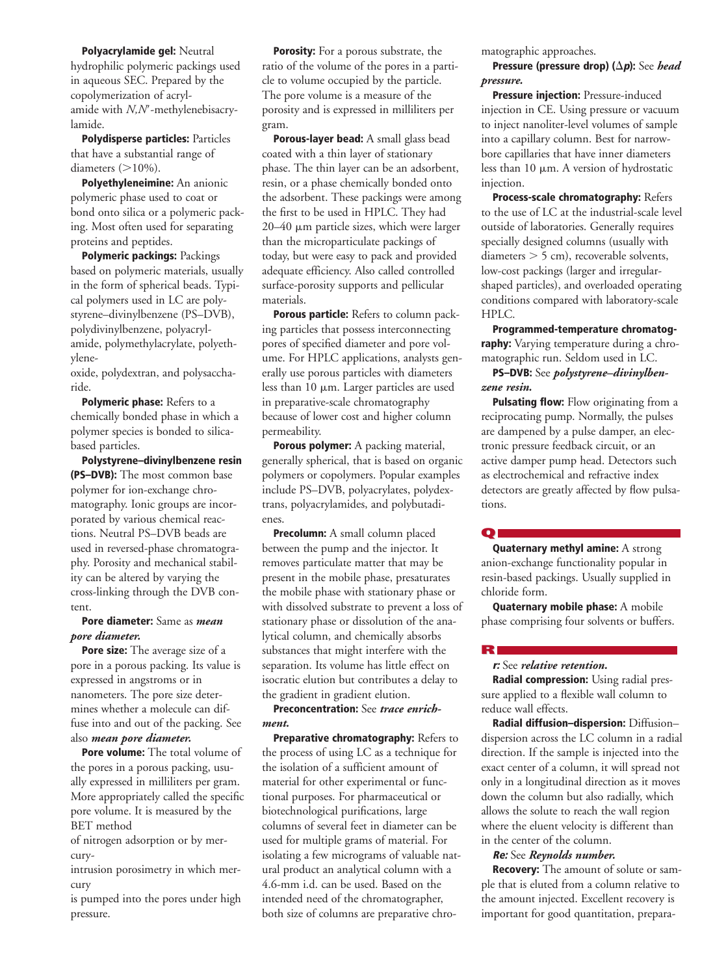**Polyacrylamide gel:** Neutral hydrophilic polymeric packings used in aqueous SEC. Prepared by the copolymerization of acrylamide with *N,N'*-methylenebisacrylamide.

**Polydisperse particles:** Particles that have a substantial range of diameters  $(>10\%)$ .

**Polyethyleneimine:** An anionic polymeric phase used to coat or bond onto silica or a polymeric packing. Most often used for separating proteins and peptides.

**Polymeric packings:** Packings based on polymeric materials, usually in the form of spherical beads. Typical polymers used in LC are polystyrene–divinylbenzene (PS–DVB), polydivinylbenzene, polyacrylamide, polymethylacrylate, polyethylene-

oxide, polydextran, and polysaccharide.

**Polymeric phase:** Refers to a chemically bonded phase in which a polymer species is bonded to silicabased particles.

**Polystyrene–divinylbenzene resin (PS–DVB):** The most common base polymer for ion-exchange chromatography. Ionic groups are incorporated by various chemical reactions. Neutral PS–DVB beads are used in reversed-phase chromatography. Porosity and mechanical stability can be altered by varying the cross-linking through the DVB content.

## **Pore diameter:** Same as *mean pore diameter.*

**Pore size:** The average size of a pore in a porous packing. Its value is expressed in angstroms or in nanometers. The pore size determines whether a molecule can diffuse into and out of the packing. See also *mean pore diameter.*

**Pore volume:** The total volume of the pores in a porous packing, usually expressed in milliliters per gram. More appropriately called the specific pore volume. It is measured by the BET method

of nitrogen adsorption or by mercury-

intrusion porosimetry in which mercury

is pumped into the pores under high pressure.

**Porosity:** For a porous substrate, the ratio of the volume of the pores in a particle to volume occupied by the particle. The pore volume is a measure of the porosity and is expressed in milliliters per gram.

**Porous-layer bead:** A small glass bead coated with a thin layer of stationary phase. The thin layer can be an adsorbent, resin, or a phase chemically bonded onto the adsorbent. These packings were among the first to be used in HPLC. They had  $20-40$  µm particle sizes, which were larger than the microparticulate packings of today, but were easy to pack and provided adequate efficiency. Also called controlled surface-porosity supports and pellicular materials.

**Porous particle:** Refers to column packing particles that possess interconnecting pores of specified diameter and pore volume. For HPLC applications, analysts generally use porous particles with diameters less than 10  $\mu$ m. Larger particles are used in preparative-scale chromatography because of lower cost and higher column permeability.

**Porous polymer:** A packing material, generally spherical, that is based on organic polymers or copolymers. Popular examples include PS–DVB, polyacrylates, polydextrans, polyacrylamides, and polybutadienes.

**Precolumn:** A small column placed between the pump and the injector. It removes particulate matter that may be present in the mobile phase, presaturates the mobile phase with stationary phase or with dissolved substrate to prevent a loss of stationary phase or dissolution of the analytical column, and chemically absorbs substances that might interfere with the separation. Its volume has little effect on isocratic elution but contributes a delay to the gradient in gradient elution.

**Preconcentration:** See *trace enrichment.*

**Preparative chromatography:** Refers to the process of using LC as a technique for the isolation of a sufficient amount of material for other experimental or functional purposes. For pharmaceutical or biotechnological purifications, large columns of several feet in diameter can be used for multiple grams of material. For isolating a few micrograms of valuable natural product an analytical column with a 4.6-mm i.d. can be used. Based on the intended need of the chromatographer, both size of columns are preparative chromatographic approaches.

#### **Pressure (pressure drop) (** $\Delta p$ **):** See *head pressure.*

**Pressure injection:** Pressure-induced injection in CE. Using pressure or vacuum to inject nanoliter-level volumes of sample into a capillary column. Best for narrowbore capillaries that have inner diameters less than  $10 \mu m$ . A version of hydrostatic injection.

**Process-scale chromatography:** Refers to the use of LC at the industrial-scale level outside of laboratories. Generally requires specially designed columns (usually with diameters  $>$  5 cm), recoverable solvents, low-cost packings (larger and irregularshaped particles), and overloaded operating conditions compared with laboratory-scale HPLC.

**Programmed-temperature chromatography:** Varying temperature during a chromatographic run. Seldom used in LC.

#### **PS–DVB:** See *polystyrene–divinylbenzene resin.*

**Pulsating flow:** Flow originating from a reciprocating pump. Normally, the pulses are dampened by a pulse damper, an electronic pressure feedback circuit, or an active damper pump head. Detectors such as electrochemical and refractive index detectors are greatly affected by flow pulsations.

**Q**

**Quaternary methyl amine:** A strong anion-exchange functionality popular in resin-based packings. Usually supplied in chloride form.

**Quaternary mobile phase:** A mobile phase comprising four solvents or buffers.

# **R**

**r:** See *relative retention.*

**Radial compression:** Using radial pressure applied to a flexible wall column to reduce wall effects.

**Radial diffusion–dispersion:** Diffusion– dispersion across the LC column in a radial direction. If the sample is injected into the exact center of a column, it will spread not only in a longitudinal direction as it moves down the column but also radially, which allows the solute to reach the wall region where the eluent velocity is different than in the center of the column.

#### **Re:** See *Reynolds number.*

**Recovery:** The amount of solute or sample that is eluted from a column relative to the amount injected. Excellent recovery is important for good quantitation, prepara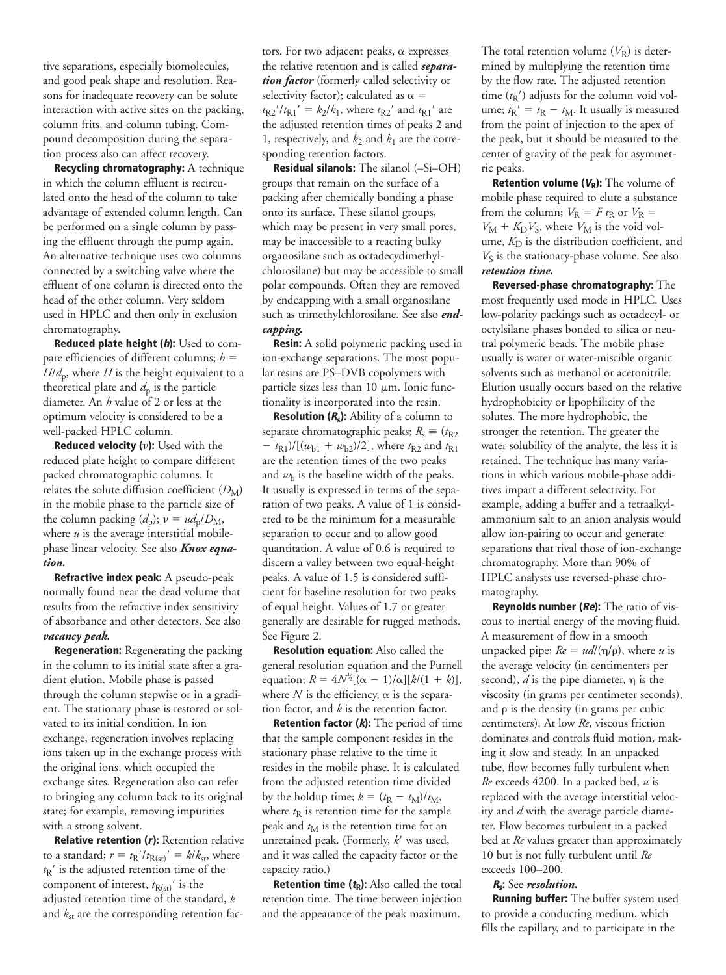tive separations, especially biomolecules, and good peak shape and resolution. Reasons for inadequate recovery can be solute interaction with active sites on the packing, column frits, and column tubing. Compound decomposition during the separation process also can affect recovery.

**Recycling chromatography:** A technique in which the column effluent is recirculated onto the head of the column to take advantage of extended column length. Can be performed on a single column by passing the effluent through the pump again. An alternative technique uses two columns connected by a switching valve where the effluent of one column is directed onto the head of the other column. Very seldom used in HPLC and then only in exclusion chromatography.

**Reduced plate height (h):** Used to compare efficiencies of different columns;  $h =$  $H/d<sub>p</sub>$ , where *H* is the height equivalent to a theoretical plate and  $d_p$  is the particle diameter. An *h* value of 2 or less at the optimum velocity is considered to be a well-packed HPLC column.

**Reduced velocity (v):** Used with the reduced plate height to compare different packed chromatographic columns. It relates the solute diffusion coefficient  $(D_M)$ in the mobile phase to the particle size of the column packing  $(d_p)$ ;  $v = ud_p/D_M$ , where  $u$  is the average interstitial mobilephase linear velocity. See also *Knox equation.*

**Refractive index peak:** A pseudo-peak normally found near the dead volume that results from the refractive index sensitivity of absorbance and other detectors. See also *vacancy peak.*

**Regeneration:** Regenerating the packing in the column to its initial state after a gradient elution. Mobile phase is passed through the column stepwise or in a gradient. The stationary phase is restored or solvated to its initial condition. In ion exchange, regeneration involves replacing ions taken up in the exchange process with the original ions, which occupied the exchange sites. Regeneration also can refer to bringing any column back to its original state; for example, removing impurities with a strong solvent.

**Relative retention (r):** Retention relative to a standard;  $r = t_R'/t_{R(st)}' = k/k_{st}$ , where  $t_{R}$ <sup>'</sup> is the adjusted retention time of the component of interest,  $t_{R(st)}$ <sup>'</sup> is the adjusted retention time of the standard, *k* and  $k_{\rm st}$  are the corresponding retention factors. For two adjacent peaks,  $\alpha$  expresses the relative retention and is called *separation factor* (formerly called selectivity or selectivity factor); calculated as  $\alpha =$  $t_{R2}/t_{R1}$ <sup>'</sup> =  $k_2/k_1$ , where  $t_{R2}$ <sup>'</sup> and  $t_{R1}$ <sup>'</sup> are the adjusted retention times of peaks 2 and 1, respectively, and  $k_2$  and  $k_1$  are the corresponding retention factors.

**Residual silanols:** The silanol (–Si–OH) groups that remain on the surface of a packing after chemically bonding a phase onto its surface. These silanol groups, which may be present in very small pores, may be inaccessible to a reacting bulky organosilane such as octadecydimethylchlorosilane) but may be accessible to small polar compounds. Often they are removed by endcapping with a small organosilane such as trimethylchlorosilane. See also *endcapping.*

**Resin:** A solid polymeric packing used in ion-exchange separations. The most popular resins are PS–DVB copolymers with particle sizes less than  $10 \mu m$ . Ionic functionality is incorporated into the resin.

**Resolution (Rs):** Ability of a column to separate chromatographic peaks;  $R_s \equiv (t_{R2})$  $-$  *t*<sub>R1</sub>)/[( $w_{b1} + w_{b2}$ )/2], where *t*<sub>R2</sub> and *t*<sub>R1</sub> are the retention times of the two peaks and  $w<sub>b</sub>$  is the baseline width of the peaks. It usually is expressed in terms of the separation of two peaks. A value of 1 is considered to be the minimum for a measurable separation to occur and to allow good quantitation. A value of 0.6 is required to discern a valley between two equal-height peaks. A value of 1.5 is considered sufficient for baseline resolution for two peaks of equal height. Values of 1.7 or greater generally are desirable for rugged methods. See Figure 2.

**Resolution equation:** Also called the general resolution equation and the Purnell equation;  $R = 4N^{\frac{1}{2}}[(\alpha - 1)/\alpha][k/(1 + k)],$ where  $N$  is the efficiency,  $\alpha$  is the separation factor, and *k* is the retention factor.

**Retention factor (k):** The period of time that the sample component resides in the stationary phase relative to the time it resides in the mobile phase. It is calculated from the adjusted retention time divided by the holdup time;  $k = (t_R - t_M)/t_M$ , where  $t<sub>R</sub>$  is retention time for the sample peak and  $t_M$  is the retention time for an unretained peak. (Formerly, *k'* was used, and it was called the capacity factor or the capacity ratio.)

**Retention time**  $(t_R)$ **:** Also called the total retention time. The time between injection and the appearance of the peak maximum.

The total retention volume  $(V_R)$  is determined by multiplying the retention time by the flow rate. The adjusted retention time  $(t<sub>R</sub>)$  adjusts for the column void volume;  $t_{\rm R}$ <sup>'</sup> =  $t_{\rm R}$  -  $t_{\rm M}$ . It usually is measured from the point of injection to the apex of the peak, but it should be measured to the center of gravity of the peak for asymmetric peaks.

**Retention volume (** $V_R$ **):** The volume of mobile phase required to elute a substance from the column;  $V_R = F t_R$  or  $V_R =$  $V_M + K_D V_S$ , where  $V_M$  is the void volume,  $K<sub>D</sub>$  is the distribution coefficient, and  $V<sub>S</sub>$  is the stationary-phase volume. See also *retention time.*

**Reversed-phase chromatography:** The most frequently used mode in HPLC. Uses low-polarity packings such as octadecyl- or octylsilane phases bonded to silica or neutral polymeric beads. The mobile phase usually is water or water-miscible organic solvents such as methanol or acetonitrile. Elution usually occurs based on the relative hydrophobicity or lipophilicity of the solutes. The more hydrophobic, the stronger the retention. The greater the water solubility of the analyte, the less it is retained. The technique has many variations in which various mobile-phase additives impart a different selectivity. For example, adding a buffer and a tetraalkylammonium salt to an anion analysis would allow ion-pairing to occur and generate separations that rival those of ion-exchange chromatography. More than 90% of HPLC analysts use reversed-phase chromatography.

**Reynolds number (Re):** The ratio of viscous to inertial energy of the moving fluid. A measurement of flow in a smooth unpacked pipe;  $Re = ud/(\eta/\rho)$ , where *u* is the average velocity (in centimenters per second),  $d$  is the pipe diameter,  $\eta$  is the viscosity (in grams per centimeter seconds), and  $\rho$  is the density (in grams per cubic centimeters). At low *Re*, viscous friction dominates and controls fluid motion, making it slow and steady. In an unpacked tube, flow becomes fully turbulent when *Re* exceeds 4200. In a packed bed, *u* is replaced with the average interstitial velocity and *d* with the average particle diameter. Flow becomes turbulent in a packed bed at *Re* values greater than approximately 10 but is not fully turbulent until *Re* exceeds 100–200.

#### **<sup>R</sup>s:** See *resolution.*

**Running buffer:** The buffer system used to provide a conducting medium, which fills the capillary, and to participate in the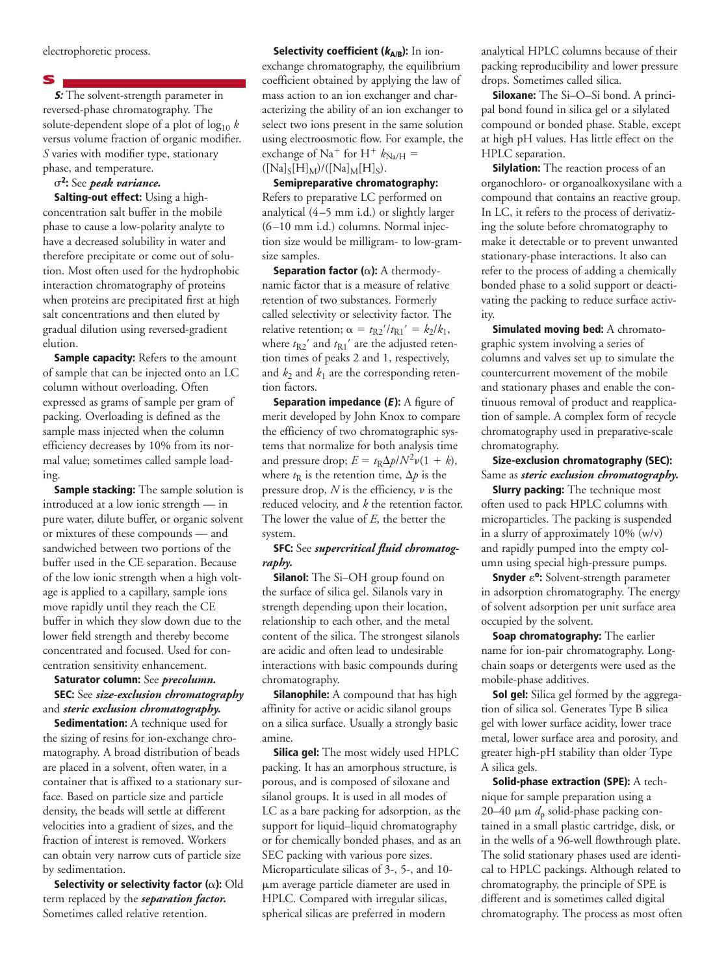electrophoretic process.

#### **S**

**S:** The solvent-strength parameter in reversed-phase chromatography. The solute-dependent slope of a plot of log10 *k* versus volume fraction of organic modifier. *S* varies with modifier type, stationary phase, and temperature.

## s**2:** See *peak variance.*

**Salting-out effect:** Using a highconcentration salt buffer in the mobile phase to cause a low-polarity analyte to have a decreased solubility in water and therefore precipitate or come out of solution. Most often used for the hydrophobic interaction chromatography of proteins when proteins are precipitated first at high salt concentrations and then eluted by gradual dilution using reversed-gradient elution.

**Sample capacity:** Refers to the amount of sample that can be injected onto an LC column without overloading. Often expressed as grams of sample per gram of packing. Overloading is defined as the sample mass injected when the column efficiency decreases by 10% from its normal value; sometimes called sample loading.

**Sample stacking:** The sample solution is introduced at a low ionic strength — in pure water, dilute buffer, or organic solvent or mixtures of these compounds — and sandwiched between two portions of the buffer used in the CE separation. Because of the low ionic strength when a high voltage is applied to a capillary, sample ions move rapidly until they reach the CE buffer in which they slow down due to the lower field strength and thereby become concentrated and focused. Used for concentration sensitivity enhancement.

## **Saturator column:** See *precolumn.* **SEC:** See *size-exclusion chromatography* and *steric exclusion chromatography.*

**Sedimentation:** A technique used for the sizing of resins for ion-exchange chromatography. A broad distribution of beads are placed in a solvent, often water, in a container that is affixed to a stationary surface. Based on particle size and particle density, the beads will settle at different velocities into a gradient of sizes, and the fraction of interest is removed. Workers can obtain very narrow cuts of particle size by sedimentation.

**Selectivity or selectivity factor (**a**):** Old term replaced by the *separation factor.* Sometimes called relative retention.

**Selectivity coefficient (kA/B):** In ionexchange chromatography, the equilibrium coefficient obtained by applying the law of mass action to an ion exchanger and characterizing the ability of an ion exchanger to select two ions present in the same solution using electroosmotic flow. For example, the exchange of Na<sup>+</sup> for H<sup>+</sup>  $k_{\text{Na/H}}$  =  $([Na]_S[H]_M)/([Na]_M[H]_S).$ 

**Semipreparative chromatography:** Refers to preparative LC performed on analytical (4–5 mm i.d.) or slightly larger (6–10 mm i.d.) columns. Normal injection size would be milligram- to low-gramsize samples.

**Separation factor (**a**):** A thermodynamic factor that is a measure of relative retention of two substances. Formerly called selectivity or selectivity factor. The relative retention;  $\alpha = t_{R2}/t_{R1} = k_2/k_1$ , where  $t_{\rm R2}^{\phantom i\phantom i}$  and  $t_{\rm R1}^{\phantom i\phantom i\phantom i}$  are the adjusted retention times of peaks 2 and 1, respectively, and  $k_2$  and  $k_1$  are the corresponding retention factors.

**Separation impedance (<sup>E</sup> ):** A figure of merit developed by John Knox to compare the efficiency of two chromatographic systems that normalize for both analysis time and pressure drop;  $E = t_R \Delta p / N^2 \nu (1 + k)$ , where  $t<sub>R</sub>$  is the retention time,  $\Delta p$  is the pressure drop,  $N$  is the efficiency,  $\nu$  is the reduced velocity, and *k* the retention factor. The lower the value of *E*, the better the system.

#### **SFC:** See *supercritical fluid chromatography.*

**Silanol:** The Si-OH group found on the surface of silica gel. Silanols vary in strength depending upon their location, relationship to each other, and the metal content of the silica. The strongest silanols are acidic and often lead to undesirable interactions with basic compounds during chromatography.

**Silanophile:** A compound that has high affinity for active or acidic silanol groups on a silica surface. Usually a strongly basic amine.

**Silica gel:** The most widely used HPLC packing. It has an amorphous structure, is porous, and is composed of siloxane and silanol groups. It is used in all modes of LC as a bare packing for adsorption, as the support for liquid–liquid chromatography or for chemically bonded phases, and as an SEC packing with various pore sizes. Microparticulate silicas of 3-, 5-, and 10 mm average particle diameter are used in HPLC. Compared with irregular silicas, spherical silicas are preferred in modern

analytical HPLC columns because of their packing reproducibility and lower pressure drops. Sometimes called silica.

**Siloxane:** The Si–O–Si bond. A principal bond found in silica gel or a silylated compound or bonded phase. Stable, except at high pH values. Has little effect on the HPLC separation.

**Silylation:** The reaction process of an organochloro- or organoalkoxysilane with a compound that contains an reactive group. In LC, it refers to the process of derivatizing the solute before chromatography to make it detectable or to prevent unwanted stationary-phase interactions. It also can refer to the process of adding a chemically bonded phase to a solid support or deactivating the packing to reduce surface activity.

**Simulated moving bed:** A chromatographic system involving a series of columns and valves set up to simulate the countercurrent movement of the mobile and stationary phases and enable the continuous removal of product and reapplication of sample. A complex form of recycle chromatography used in preparative-scale chromatography.

# **Size-exclusion chromatography (SEC):** Same as *steric exclusion chromatography.*

**Slurry packing:** The technique most often used to pack HPLC columns with microparticles. The packing is suspended in a slurry of approximately 10% (w/v) and rapidly pumped into the empty column using special high-pressure pumps.

**Snyder**  $\varepsilon$ <sup>o</sup>: Solvent-strength parameter in adsorption chromatography. The energy of solvent adsorption per unit surface area occupied by the solvent.

**Soap chromatography:** The earlier name for ion-pair chromatography. Longchain soaps or detergents were used as the mobile-phase additives.

**Sol gel:** Silica gel formed by the aggregation of silica sol. Generates Type B silica gel with lower surface acidity, lower trace metal, lower surface area and porosity, and greater high-pH stability than older Type A silica gels.

**Solid-phase extraction (SPE):** A technique for sample preparation using a 20–40  $\mu$ m  $d_p$  solid-phase packing contained in a small plastic cartridge, disk, or in the wells of a 96-well flowthrough plate. The solid stationary phases used are identical to HPLC packings. Although related to chromatography, the principle of SPE is different and is sometimes called digital chromatography. The process as most often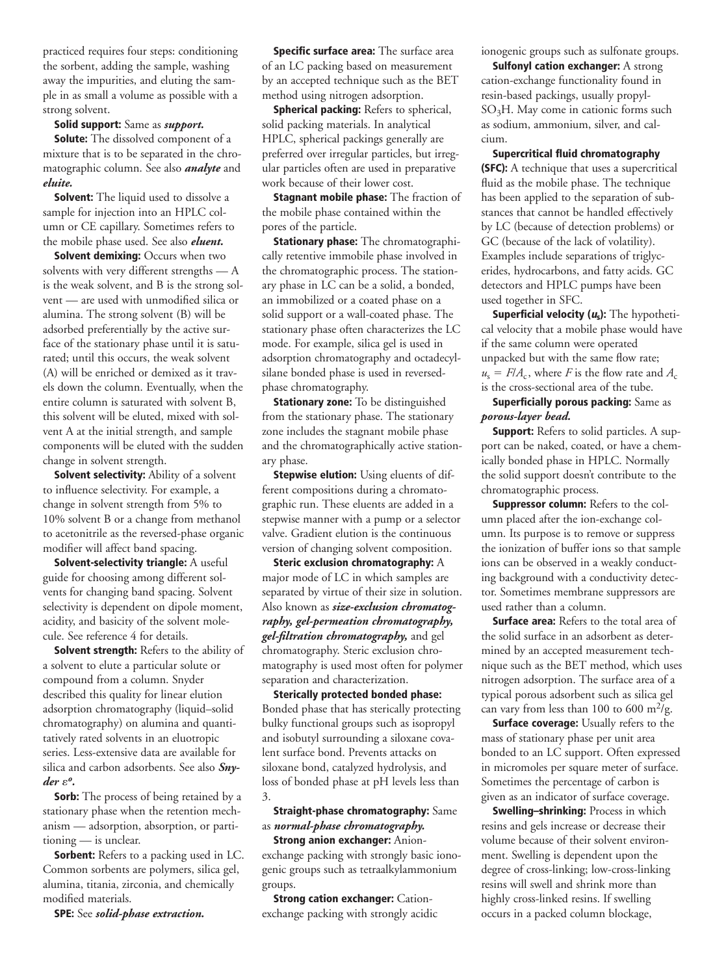practiced requires four steps: conditioning the sorbent, adding the sample, washing away the impurities, and eluting the sample in as small a volume as possible with a strong solvent.

#### **Solid support:** Same as *support.*

**Solute:** The dissolved component of a mixture that is to be separated in the chromatographic column. See also *analyte* and *eluite.*

**Solvent:** The liquid used to dissolve a sample for injection into an HPLC column or CE capillary. Sometimes refers to the mobile phase used. See also *eluent.*

**Solvent demixing: Occurs when two** solvents with very different strengths — A is the weak solvent, and B is the strong solvent — are used with unmodified silica or alumina. The strong solvent (B) will be adsorbed preferentially by the active surface of the stationary phase until it is saturated; until this occurs, the weak solvent (A) will be enriched or demixed as it travels down the column. Eventually, when the entire column is saturated with solvent B, this solvent will be eluted, mixed with solvent A at the initial strength, and sample components will be eluted with the sudden change in solvent strength.

**Solvent selectivity:** Ability of a solvent to influence selectivity. For example, a change in solvent strength from 5% to 10% solvent B or a change from methanol to acetonitrile as the reversed-phase organic modifier will affect band spacing.

**Solvent-selectivity triangle:** A useful guide for choosing among different solvents for changing band spacing. Solvent selectivity is dependent on dipole moment, acidity, and basicity of the solvent molecule. See reference 4 for details.

**Solvent strength:** Refers to the ability of a solvent to elute a particular solute or compound from a column. Snyder described this quality for linear elution adsorption chromatography (liquid–solid chromatography) on alumina and quantitatively rated solvents in an eluotropic series. Less-extensive data are available for silica and carbon adsorbents. See also *Sny* $der ε<sup>o</sup>$ .

**Sorb:** The process of being retained by a stationary phase when the retention mechanism — adsorption, absorption, or partitioning — is unclear.

**Sorbent:** Refers to a packing used in LC. Common sorbents are polymers, silica gel, alumina, titania, zirconia, and chemically modified materials.

**SPE:** See *solid-phase extraction.*

**Specific surface area:** The surface area of an LC packing based on measurement by an accepted technique such as the BET method using nitrogen adsorption.

**Spherical packing:** Refers to spherical, solid packing materials. In analytical HPLC, spherical packings generally are preferred over irregular particles, but irregular particles often are used in preparative work because of their lower cost.

**Stagnant mobile phase:** The fraction of the mobile phase contained within the pores of the particle.

**Stationary phase:** The chromatographically retentive immobile phase involved in the chromatographic process. The stationary phase in LC can be a solid, a bonded, an immobilized or a coated phase on a solid support or a wall-coated phase. The stationary phase often characterizes the LC mode. For example, silica gel is used in adsorption chromatography and octadecylsilane bonded phase is used in reversedphase chromatography.

**Stationary zone:** To be distinguished from the stationary phase. The stationary zone includes the stagnant mobile phase and the chromatographically active stationary phase.

**Stepwise elution:** Using eluents of different compositions during a chromatographic run. These eluents are added in a stepwise manner with a pump or a selector valve. Gradient elution is the continuous version of changing solvent composition.

**Steric exclusion chromatography:** A major mode of LC in which samples are separated by virtue of their size in solution. Also known as *size-exclusion chromatography, gel-permeation chromatography, gel-filtration chromatography,* and gel chromatography. Steric exclusion chromatography is used most often for polymer separation and characterization.

**Sterically protected bonded phase:** Bonded phase that has sterically protecting bulky functional groups such as isopropyl and isobutyl surrounding a siloxane covalent surface bond. Prevents attacks on siloxane bond, catalyzed hydrolysis, and loss of bonded phase at pH levels less than 3.

# **Straight-phase chromatography:** Same as *normal-phase chromatography.*

**Strong anion exchanger:** Anionexchange packing with strongly basic ionogenic groups such as tetraalkylammonium groups.

**Strong cation exchanger: Cation**exchange packing with strongly acidic ionogenic groups such as sulfonate groups.

**Sulfonyl cation exchanger:** A strong cation-exchange functionality found in resin-based packings, usually propyl-SO3H. May come in cationic forms such as sodium, ammonium, silver, and calcium.

**Supercritical fluid chromatography (SFC):** A technique that uses a supercritical fluid as the mobile phase. The technique has been applied to the separation of substances that cannot be handled effectively by LC (because of detection problems) or GC (because of the lack of volatility). Examples include separations of triglycerides, hydrocarbons, and fatty acids. GC detectors and HPLC pumps have been used together in SFC.

**Superficial velocity (us):** The hypothetical velocity that a mobile phase would have if the same column were operated unpacked but with the same flow rate;  $u_s = F/A_c$ , where *F* is the flow rate and  $A_c$ is the cross-sectional area of the tube.

# **Superficially porous packing:** Same as *porous-layer bead.*

**Support:** Refers to solid particles. A support can be naked, coated, or have a chemically bonded phase in HPLC. Normally the solid support doesn't contribute to the chromatographic process.

**Suppressor column:** Refers to the column placed after the ion-exchange column. Its purpose is to remove or suppress the ionization of buffer ions so that sample ions can be observed in a weakly conducting background with a conductivity detector. Sometimes membrane suppressors are used rather than a column.

**Surface area:** Refers to the total area of the solid surface in an adsorbent as determined by an accepted measurement technique such as the BET method, which uses nitrogen adsorption. The surface area of a typical porous adsorbent such as silica gel can vary from less than 100 to 600 m<sup>2</sup>/g.

**Surface coverage:** Usually refers to the mass of stationary phase per unit area bonded to an LC support. Often expressed in micromoles per square meter of surface. Sometimes the percentage of carbon is given as an indicator of surface coverage.

**Swelling–shrinking:** Process in which resins and gels increase or decrease their volume because of their solvent environment. Swelling is dependent upon the degree of cross-linking; low-cross-linking resins will swell and shrink more than highly cross-linked resins. If swelling occurs in a packed column blockage,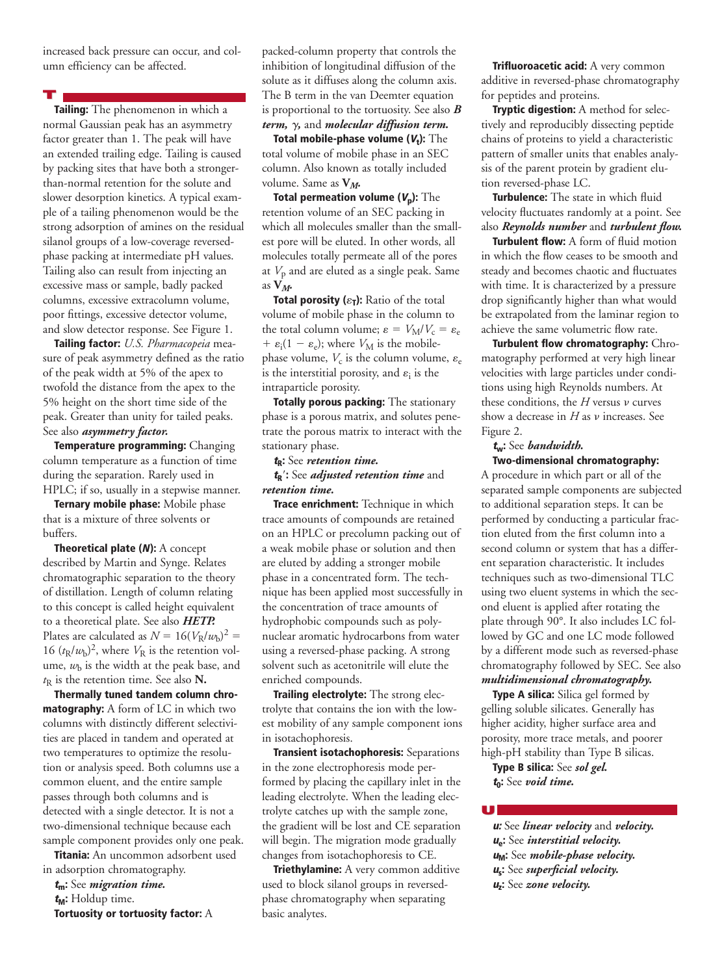increased back pressure can occur, and column efficiency can be affected.

**T**

**Tailing:** The phenomenon in which a normal Gaussian peak has an asymmetry factor greater than 1. The peak will have an extended trailing edge. Tailing is caused by packing sites that have both a strongerthan-normal retention for the solute and slower desorption kinetics. A typical example of a tailing phenomenon would be the strong adsorption of amines on the residual silanol groups of a low-coverage reversedphase packing at intermediate pH values. Tailing also can result from injecting an excessive mass or sample, badly packed columns, excessive extracolumn volume, poor fittings, excessive detector volume, and slow detector response. See Figure 1.

**Tailing factor:** *U.S. Pharmacopeia* measure of peak asymmetry defined as the ratio of the peak width at 5% of the apex to twofold the distance from the apex to the 5% height on the short time side of the peak. Greater than unity for tailed peaks. See also *asymmetry factor.*

**Temperature programming:** Changing column temperature as a function of time during the separation. Rarely used in HPLC; if so, usually in a stepwise manner.

**Ternary mobile phase:** Mobile phase that is a mixture of three solvents or buffers.

**Theoretical plate (N):** A concept described by Martin and Synge. Relates chromatographic separation to the theory of distillation. Length of column relating to this concept is called height equivalent to a theoretical plate. See also *HETP.* Plates are calculated as  $N = 16(V_R/w_b)^2 =$ 16  $(t_R/w_b)^2$ , where  $V_R$  is the retention volume,  $w<sub>b</sub>$  is the width at the peak base, and *t*<sup>R</sup> is the retention time. See also **N.**

**Thermally tuned tandem column chromatography:** A form of LC in which two columns with distinctly different selectivities are placed in tandem and operated at two temperatures to optimize the resolution or analysis speed. Both columns use a common eluent, and the entire sample passes through both columns and is detected with a single detector. It is not a two-dimensional technique because each sample component provides only one peak.

**Titania:** An uncommon adsorbent used in adsorption chromatography.

**<sup>t</sup>m:** See *migration time.*

**<sup>t</sup>M:** Holdup time.

**Tortuosity or tortuosity factor:** A

packed-column property that controls the inhibition of longitudinal diffusion of the solute as it diffuses along the column axis. The B term in the van Deemter equation is proportional to the tortuosity. See also *B term,* g*,* and *molecular diffusion term.*

**Total mobile-phase volume (Vt):** The total volume of mobile phase in an SEC column. Also known as totally included volume. Same as **V***M.*

**Total permeation volume (Vp):** The retention volume of an SEC packing in which all molecules smaller than the smallest pore will be eluted. In other words, all molecules totally permeate all of the pores at  $V_p$  and are eluted as a single peak. Same as  $V_M$ .

**Total porosity**  $(\varepsilon_{\mathsf{T}})$ **: Ratio of the total** volume of mobile phase in the column to the total column volume;  $\varepsilon = V_M/V_c = \varepsilon_e$ +  $\varepsilon$ <sub>i</sub>(1 –  $\varepsilon$ <sub>e</sub>); where  $V_M$  is the mobilephase volume,  $V_c$  is the column volume,  $\varepsilon_e$ is the interstitial porosity, and  $\varepsilon_i$  is the intraparticle porosity.

**Totally porous packing:** The stationary phase is a porous matrix, and solutes penetrate the porous matrix to interact with the stationary phase.

**<sup>t</sup>R:** See *retention time.*

**<sup>t</sup>R**9**:** See *adjusted retention time* and *retention time.*

**Trace enrichment:** Technique in which trace amounts of compounds are retained on an HPLC or precolumn packing out of a weak mobile phase or solution and then are eluted by adding a stronger mobile phase in a concentrated form. The technique has been applied most successfully in the concentration of trace amounts of hydrophobic compounds such as polynuclear aromatic hydrocarbons from water using a reversed-phase packing. A strong solvent such as acetonitrile will elute the enriched compounds.

**Trailing electrolyte:** The strong electrolyte that contains the ion with the lowest mobility of any sample component ions in isotachophoresis.

**Transient isotachophoresis:** Separations in the zone electrophoresis mode performed by placing the capillary inlet in the leading electrolyte. When the leading electrolyte catches up with the sample zone, the gradient will be lost and CE separation will begin. The migration mode gradually changes from isotachophoresis to CE.

**Triethylamine:** A very common additive used to block silanol groups in reversedphase chromatography when separating basic analytes.

**Trifluoroacetic acid:** A very common additive in reversed-phase chromatography for peptides and proteins.

**Tryptic digestion:** A method for selectively and reproducibly dissecting peptide chains of proteins to yield a characteristic pattern of smaller units that enables analysis of the parent protein by gradient elution reversed-phase LC.

**Turbulence:** The state in which fluid velocity fluctuates randomly at a point. See also *Reynolds number* and *turbulent flow.*

**Turbulent flow:** A form of fluid motion in which the flow ceases to be smooth and steady and becomes chaotic and fluctuates with time. It is characterized by a pressure drop significantly higher than what would be extrapolated from the laminar region to achieve the same volumetric flow rate.

**Turbulent flow chromatography:** Chromatography performed at very high linear velocities with large particles under conditions using high Reynolds numbers. At these conditions, the  $H$  versus  $\nu$  curves show a decrease in  $H$  as  $\nu$  increases. See Figure 2.

#### **<sup>t</sup>w:** See *bandwidth.* **Two-dimensional chromatography:**

A procedure in which part or all of the separated sample components are subjected to additional separation steps. It can be performed by conducting a particular fraction eluted from the first column into a second column or system that has a different separation characteristic. It includes techniques such as two-dimensional TLC using two eluent systems in which the second eluent is applied after rotating the plate through 90°. It also includes LC followed by GC and one LC mode followed by a different mode such as reversed-phase chromatography followed by SEC. See also *multidimensional chromatography.*

**Type A silica:** Silica gel formed by gelling soluble silicates. Generally has higher acidity, higher surface area and porosity, more trace metals, and poorer high-pH stability than Type B silicas.

**Type B silica:** See *sol gel.* **<sup>t</sup>0:** See *void time.*

**U**

**u:** See *linear velocity* and *velocity.* **<sup>u</sup>e:** See *interstitial velocity.* **u<sub>M</sub>: See** *mobile-phase velocity***. <sup>u</sup>s:** See *superficial velocity.* **uz:** See *zone velocity.*